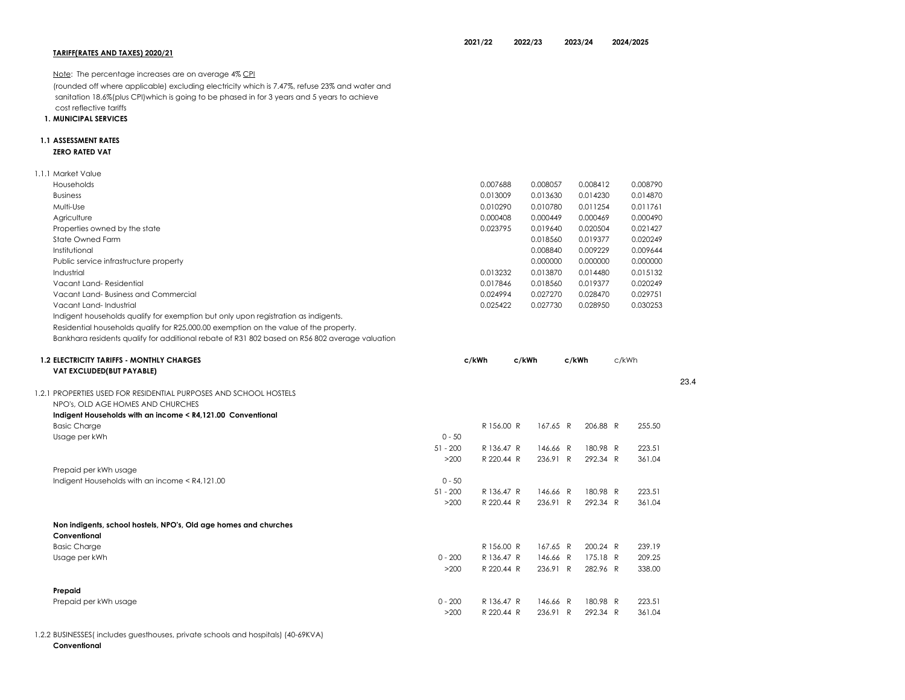| Note: The percentage increases are on average 4% CPI                                           |            |            |          |          |       |          |      |
|------------------------------------------------------------------------------------------------|------------|------------|----------|----------|-------|----------|------|
| (rounded off where applicable) excluding electricity which is 7.47%, refuse 23% and water and  |            |            |          |          |       |          |      |
| sanitation 18.6%(plus CPI) which is going to be phased in for 3 years and 5 years to achieve   |            |            |          |          |       |          |      |
| cost reflective tariffs                                                                        |            |            |          |          |       |          |      |
| <b>1. MUNICIPAL SERVICES</b>                                                                   |            |            |          |          |       |          |      |
| <b>1.1 ASSESSMENT RATES</b>                                                                    |            |            |          |          |       |          |      |
| <b>ZERO RATED VAT</b>                                                                          |            |            |          |          |       |          |      |
| 1.1.1 Market Value                                                                             |            |            |          |          |       |          |      |
| Households                                                                                     |            | 0.007688   | 0.008057 | 0.008412 |       | 0.008790 |      |
| <b>Business</b>                                                                                |            | 0.013009   | 0.013630 | 0.014230 |       | 0.014870 |      |
| Multi-Use                                                                                      |            | 0.010290   | 0.010780 | 0.011254 |       | 0.011761 |      |
| Agriculture                                                                                    |            | 0.000408   | 0.000449 | 0.000469 |       | 0.000490 |      |
| Properties owned by the state                                                                  |            | 0.023795   | 0.019640 | 0.020504 |       | 0.021427 |      |
| State Owned Farm                                                                               |            |            | 0.018560 | 0.019377 |       | 0.020249 |      |
| Institutional                                                                                  |            |            | 0.008840 | 0.009229 |       | 0.009644 |      |
| Public service infrastructure property                                                         |            |            | 0.000000 | 0.000000 |       | 0.000000 |      |
| Industrial                                                                                     |            | 0.013232   | 0.013870 | 0.014480 |       | 0.015132 |      |
| Vacant Land-Residential                                                                        |            | 0.017846   | 0.018560 | 0.019377 |       | 0.020249 |      |
| Vacant Land-Business and Commercial                                                            |            | 0.024994   | 0.027270 | 0.028470 |       | 0.029751 |      |
| Vacant Land-Industrial                                                                         |            | 0.025422   | 0.027730 | 0.028950 |       | 0.030253 |      |
| Indigent households qualify for exemption but only upon registration as indigents.             |            |            |          |          |       |          |      |
| Residential households qualify for R25,000.00 exemption on the value of the property.          |            |            |          |          |       |          |      |
| Bankhara residents qualify for additional rebate of R31 802 based on R56 802 average valuation |            |            |          |          |       |          |      |
|                                                                                                |            |            |          |          |       |          |      |
| <b>1.2 ELECTRICITY TARIFFS - MONTHLY CHARGES</b>                                               |            | c/kWh      | c/kWh    | c/kWh    | c/kWh |          |      |
| VAT EXCLUDED(BUT PAYABLE)                                                                      |            |            |          |          |       |          |      |
| 1.2.1 PROPERTIES USED FOR RESIDENTIAL PURPOSES AND SCHOOL HOSTELS                              |            |            |          |          |       |          | 23.4 |
| NPO's, OLD AGE HOMES AND CHURCHES                                                              |            |            |          |          |       |          |      |
| Indigent Households with an income < R4,121.00 Conventional                                    |            |            |          |          |       |          |      |
| <b>Basic Charge</b>                                                                            |            | R 156.00 R | 167.65 R | 206.88 R |       | 255.50   |      |
| Usage per kWh                                                                                  | $0 - 50$   |            |          |          |       |          |      |
|                                                                                                | $51 - 200$ | R 136.47 R | 146.66 R | 180.98 R |       | 223.51   |      |
|                                                                                                | >200       | R 220.44 R | 236.91 R | 292.34 R |       | 361.04   |      |
| Prepaid per kWh usage                                                                          |            |            |          |          |       |          |      |
| Indigent Households with an income < R4,121.00                                                 | $0 - 50$   |            |          |          |       |          |      |
|                                                                                                | $51 - 200$ | R 136.47 R | 146.66 R | 180.98 R |       | 223.51   |      |
|                                                                                                | >200       | R 220.44 R | 236.91 R | 292.34 R |       | 361.04   |      |
| Non indigents, school hostels, NPO's, Old age homes and churches                               |            |            |          |          |       |          |      |
| Conventional                                                                                   |            |            |          |          |       |          |      |
| <b>Basic Charge</b>                                                                            |            | R 156.00 R | 167.65 R | 200.24 R |       | 239.19   |      |
| Usage per kWh                                                                                  | $0 - 200$  | R 136.47 R | 146.66 R | 175.18 R |       | 209.25   |      |
|                                                                                                | >200       | R 220.44 R | 236.91 R | 282.96 R |       | 338.00   |      |
| Prepaid                                                                                        |            |            |          |          |       |          |      |
| Prepaid per kWh usage                                                                          | $0 - 200$  | R 136.47 R | 146.66 R | 180.98 R |       | 223.51   |      |
|                                                                                                | >200       | R 220.44 R | 236.91 R | 292.34 R |       | 361.04   |      |

1.2.2 BUSINESSES( includes guesthouses, private schools and hospitals) (40-69KVA)

Conventional

TARIFF(RATES AND TAXES) 2020/21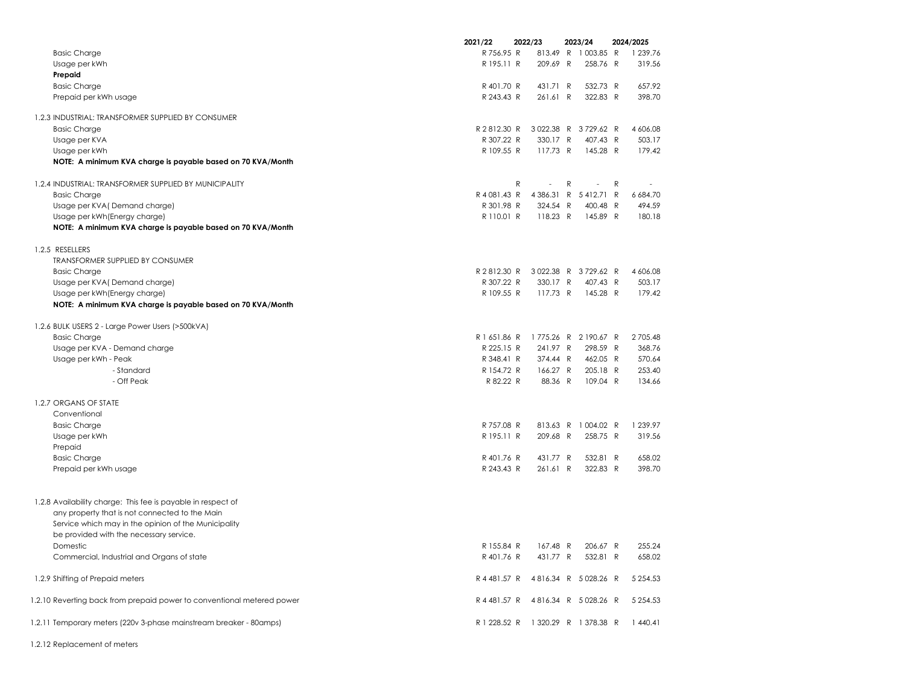|                                                                                                                | 2021/22      | 2022/23                            |              | 2023/24    |   | 2024/2025 |
|----------------------------------------------------------------------------------------------------------------|--------------|------------------------------------|--------------|------------|---|-----------|
| <b>Basic Charge</b>                                                                                            | R 756.95 R   | 813.49 R                           |              | 1 003.85 R |   | 1 239.76  |
| Usage per kWh                                                                                                  | R 195.11 R   | 209.69 R                           |              | 258.76 R   |   | 319.56    |
| Prepaid                                                                                                        |              |                                    |              |            |   |           |
| <b>Basic Charge</b>                                                                                            | R 401.70 R   | 431.71 R                           |              | 532.73 R   |   | 657.92    |
| Prepaid per kWh usage                                                                                          | R 243.43 R   | 261.61 R                           |              | 322.83 R   |   | 398.70    |
| 1.2.3 INDUSTRIAL: TRANSFORMER SUPPLIED BY CONSUMER                                                             |              |                                    |              |            |   |           |
| <b>Basic Charge</b>                                                                                            | R 2812.30 R  | 3022.38 R                          |              | 3729.62 R  |   | 4 606.08  |
| Usage per KVA                                                                                                  | R 307.22 R   | 330.17 R                           |              | 407.43 R   |   | 503.17    |
| Usage per kWh                                                                                                  | R 109.55 R   | 117.73 R                           |              | 145.28 R   |   | 179.42    |
| NOTE: A minimum KVA charge is payable based on 70 KVA/Month                                                    |              |                                    |              |            |   |           |
| 1.2.4 INDUSTRIAL: TRANSFORMER SUPPLIED BY MUNICIPALITY                                                         |              | $\mathsf{R}$                       | R            | ÷,         | R |           |
| <b>Basic Charge</b>                                                                                            | R 4 081.43 R | 4 3 8 6 . 3 1                      | $\mathsf{R}$ | 5412.71 R  |   | 6 684.70  |
| Usage per KVA (Demand charge)                                                                                  | R 301.98 R   | 324.54 R                           |              | 400.48 R   |   | 494.59    |
| Usage per kWh (Energy charge)                                                                                  | R 110.01 R   | 118.23 R                           |              | 145.89 R   |   | 180.18    |
| NOTE: A minimum KVA charge is payable based on 70 KVA/Month                                                    |              |                                    |              |            |   |           |
| 1.2.5 RESELLERS                                                                                                |              |                                    |              |            |   |           |
| <b>TRANSFORMER SUPPLIED BY CONSUMER</b>                                                                        |              |                                    |              |            |   |           |
| <b>Basic Charge</b>                                                                                            | R 2 812.30 R | 3022.38 R                          |              | 3729.62 R  |   | 4 606.08  |
| Usage per KVA (Demand charge)                                                                                  | R 307.22 R   | 330.17 R                           |              | 407.43 R   |   | 503.17    |
| Usage per kWh (Energy charge)                                                                                  | R 109.55 R   | 117.73 R                           |              | 145.28 R   |   | 179.42    |
| NOTE: A minimum KVA charge is payable based on 70 KVA/Month                                                    |              |                                    |              |            |   |           |
| 1.2.6 BULK USERS 2 - Large Power Users (>500kVA)                                                               |              |                                    |              |            |   |           |
| <b>Basic Charge</b>                                                                                            | R 1 651.86 R | 1775.26 R                          |              | 2 190.67 R |   | 2705.48   |
| Usage per KVA - Demand charge                                                                                  | R 225.15 R   | 241.97 R                           |              | 298.59 R   |   | 368.76    |
| Usage per kWh - Peak                                                                                           | R 348.41 R   | 374.44 R                           |              | 462.05 R   |   | 570.64    |
| - Standard                                                                                                     | R 154.72 R   | 166.27 R                           |              | 205.18 R   |   | 253.40    |
| - Off Peak                                                                                                     | R 82.22 R    | 88.36 R                            |              | 109.04 R   |   | 134.66    |
| 1.2.7 ORGANS OF STATE                                                                                          |              |                                    |              |            |   |           |
| Conventional                                                                                                   |              |                                    |              |            |   |           |
| <b>Basic Charge</b>                                                                                            | R 757.08 R   | 813.63 R                           |              | 1 004.02 R |   | 1 239.97  |
| Usage per kWh                                                                                                  | R 195.11 R   | 209.68 R                           |              | 258.75 R   |   | 319.56    |
| Prepaid                                                                                                        |              |                                    |              |            |   |           |
| <b>Basic Charge</b>                                                                                            | R 401.76 R   | 431.77 R                           |              | 532.81 R   |   | 658.02    |
| Prepaid per kWh usage                                                                                          | R 243.43 R   | 261.61 R                           |              | 322.83 R   |   | 398.70    |
|                                                                                                                |              |                                    |              |            |   |           |
| 1.2.8 Availability charge: This fee is payable in respect of<br>any property that is not connected to the Main |              |                                    |              |            |   |           |
| Service which may in the opinion of the Municipality                                                           |              |                                    |              |            |   |           |
| be provided with the necessary service.                                                                        |              |                                    |              |            |   |           |
| <b>Domestic</b>                                                                                                | R 155.84 R   | 167.48 R                           |              | 206.67 R   |   | 255.24    |
| Commercial, Industrial and Organs of state                                                                     | R 401.76 R   | 431.77 R                           |              | 532.81 R   |   | 658.02    |
|                                                                                                                |              |                                    |              |            |   |           |
| 1.2.9 Shifting of Prepaid meters                                                                               |              | R 4 481.57 R 4 816.34 R 5 028.26 R |              |            |   | 5 254.53  |
| 1.2.10 Reverting back from prepaid power to conventional metered power                                         |              | R 4 481.57 R 4 816.34 R 5 028.26 R |              |            |   | 5 254.53  |
| 1.2.11 Temporary meters (220v 3-phase mainstream breaker - 80amps)                                             |              | R 1 228.52 R 1 320.29 R 1 378.38 R |              |            |   | 1440.41   |
|                                                                                                                |              |                                    |              |            |   |           |

1.2.12 Replacement of meters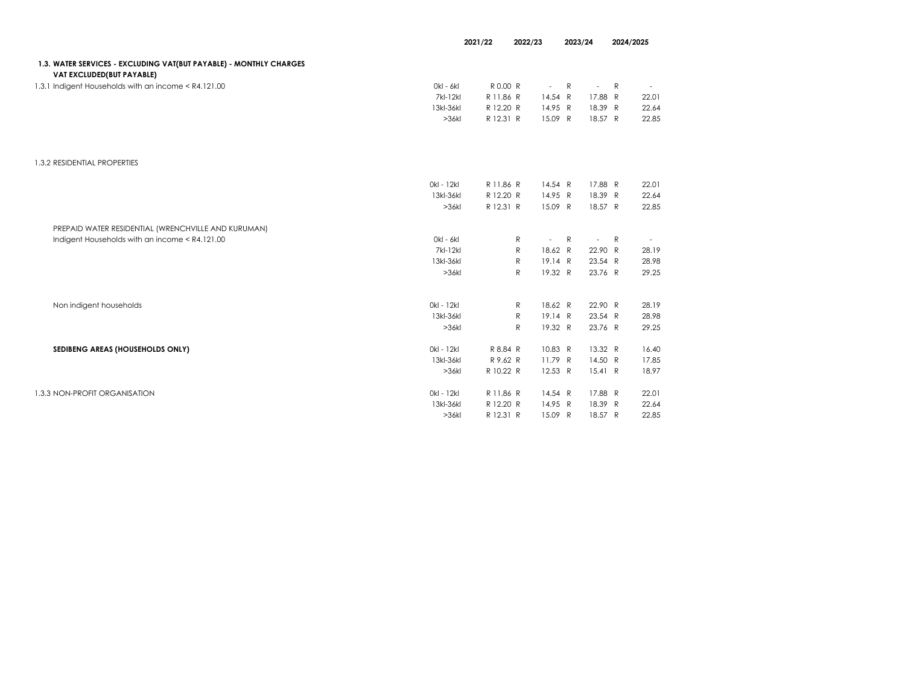|                                                                                                 | 2021/22<br>2022/23 |           | 2023/24                  | 2024/2025   |              |       |
|-------------------------------------------------------------------------------------------------|--------------------|-----------|--------------------------|-------------|--------------|-------|
| 1.3. WATER SERVICES - EXCLUDING VAT(BUT PAYABLE) - MONTHLY CHARGES<br>VAT EXCLUDED(BUT PAYABLE) |                    |           |                          |             |              |       |
| 1.3.1 Indigent Households with an income < R4.121.00                                            | 0kl - 6kl          | R 0.00 R  | $\overline{\phantom{a}}$ | R<br>$\sim$ | R            |       |
|                                                                                                 | 7kl-12kl           | R 11.86 R | 14.54 R                  | 17.88 R     |              | 22.01 |
|                                                                                                 | 13kl-36kl          | R 12.20 R | 14.95 R                  | 18.39 R     |              | 22.64 |
|                                                                                                 | >36k               | R 12.31 R | 15.09 R                  | 18.57 R     |              | 22.85 |
| 1.3.2 RESIDENTIAL PROPERTIES                                                                    |                    |           |                          |             |              |       |
|                                                                                                 | 0kl - 12kl         | R 11.86 R | 14.54 R                  | 17.88 R     |              | 22.01 |
|                                                                                                 | 13kl-36kl          | R 12.20 R | 14.95 R                  | 18.39 R     |              | 22.64 |
|                                                                                                 | >36k               | R 12.31 R | 15.09 R                  | 18.57 R     |              | 22.85 |
| PREPAID WATER RESIDENTIAL (WRENCHVILLE AND KURUMAN)                                             |                    |           |                          |             |              |       |
| Indigent Households with an income < R4.121.00                                                  | 0kl - 6kl          |           | R<br>$\overline{a}$      | R<br>$\sim$ | $\mathsf{R}$ |       |
|                                                                                                 | 7kl-12kl           |           | R<br>18.62 R             | 22.90 R     |              | 28.19 |
|                                                                                                 | 13kl-36kl          |           | 19.14 R<br>$\mathsf{R}$  | 23.54 R     |              | 28.98 |
|                                                                                                 | >36k               |           | $\mathsf{R}$<br>19.32 R  | 23.76 R     |              | 29.25 |
| Non indigent households                                                                         | 0kl - 12kl         |           | 18.62 R<br>$\mathsf{R}$  | 22.90 R     |              | 28.19 |
|                                                                                                 | 13kl-36kl          |           | ${\sf R}$<br>19.14 R     | 23.54 R     |              | 28.98 |
|                                                                                                 | >36k               |           | $\mathsf{R}$<br>19.32 R  | 23.76 R     |              | 29.25 |
| SEDIBENG AREAS (HOUSEHOLDS ONLY)                                                                | 0kl - 12kl         | R 8.84 R  | 10.83 R                  | 13.32 R     |              | 16.40 |
|                                                                                                 | 13kl-36kl          | R 9.62 R  | 11.79 R                  | 14.50 R     |              | 17.85 |
|                                                                                                 | >36k               | R 10.22 R | 12.53 R                  | 15.41 R     |              | 18.97 |
| 1.3.3 NON-PROFIT ORGANISATION                                                                   | 0kl - 12kl         | R 11.86 R | 14.54 R                  | 17.88 R     |              | 22.01 |
|                                                                                                 | 13kl-36kl          | R 12.20 R | 14.95 R                  | 18.39 R     |              | 22.64 |
|                                                                                                 | >36k               | R 12.31 R | 15.09 R                  | 18.57 R     |              | 22.85 |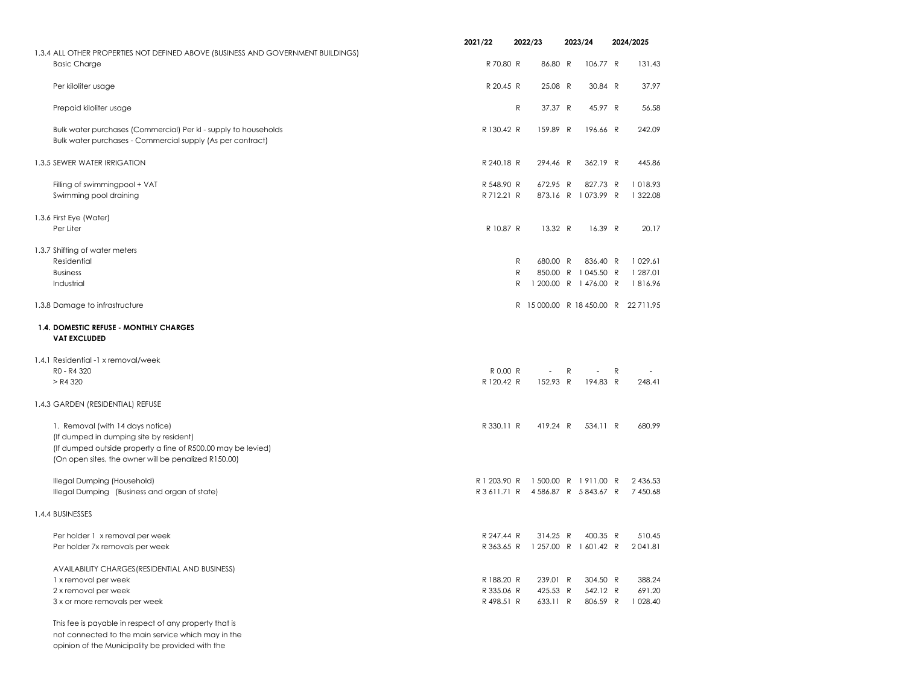|                                                                                                                                                                                                     | 2021/22                            | 2022/23      |          |   | 2023/24               |   | 2024/2025                          |
|-----------------------------------------------------------------------------------------------------------------------------------------------------------------------------------------------------|------------------------------------|--------------|----------|---|-----------------------|---|------------------------------------|
| 1.3.4 ALL OTHER PROPERTIES NOT DEFINED ABOVE (BUSINESS AND GOVERNMENT BUILDINGS)                                                                                                                    |                                    |              |          |   |                       |   |                                    |
| <b>Basic Charge</b>                                                                                                                                                                                 | R 70.80 R                          |              | 86.80 R  |   | 106.77 R              |   | 131.43                             |
| Per kiloliter usage                                                                                                                                                                                 | R 20.45 R                          |              | 25.08 R  |   | 30.84 R               |   | 37.97                              |
| Prepaid kiloliter usage                                                                                                                                                                             |                                    | R            | 37.37 R  |   | 45.97 R               |   | 56.58                              |
| Bulk water purchases (Commercial) Per kl - supply to households<br>Bulk water purchases - Commercial supply (As per contract)                                                                       | R 130.42 R                         |              | 159.89 R |   | 196.66 R              |   | 242.09                             |
| 1.3.5 SEWER WATER IRRIGATION                                                                                                                                                                        | R 240.18 R                         |              | 294.46 R |   | 362.19 R              |   | 445.86                             |
| Filling of swimmingpool + VAT                                                                                                                                                                       | R 548.90 R                         |              | 672.95 R |   | 827.73 R              |   | 1018.93                            |
| Swimming pool draining                                                                                                                                                                              | R 712.21 R                         |              |          |   | 873.16 R 1073.99 R    |   | 1 322.08                           |
| 1.3.6 First Eye (Water)<br>Per Liter                                                                                                                                                                | R 10.87 R                          |              | 13.32 R  |   | 16.39 R               |   | 20.17                              |
| 1.3.7 Shifting of water meters                                                                                                                                                                      |                                    |              |          |   |                       |   |                                    |
| Residential                                                                                                                                                                                         |                                    | $\mathsf{R}$ | 680.00 R |   | 836.40 R              |   | 1029.61                            |
| <b>Business</b>                                                                                                                                                                                     |                                    | R            |          |   | 850.00 R 1045.50 R    |   | 1 287.01                           |
| Industrial                                                                                                                                                                                          |                                    | R            |          |   | 1 200.00 R 1 476.00 R |   | 1816.96                            |
| 1.3.8 Damage to infrastructure                                                                                                                                                                      |                                    |              |          |   |                       |   | R 15000.00 R 18 450.00 R 22 711.95 |
| 1.4. DOMESTIC REFUSE - MONTHLY CHARGES<br><b>VAT EXCLUDED</b>                                                                                                                                       |                                    |              |          |   |                       |   |                                    |
| 1.4.1 Residential -1 x removal/week                                                                                                                                                                 |                                    |              |          |   |                       |   |                                    |
| RO - R4 320                                                                                                                                                                                         | R 0.00 R                           |              |          | R |                       | R |                                    |
| > R4 320                                                                                                                                                                                            | R 120.42 R                         |              | 152.93 R |   | 194.83 R              |   | 248.41                             |
| 1.4.3 GARDEN (RESIDENTIAL) REFUSE                                                                                                                                                                   |                                    |              |          |   |                       |   |                                    |
| 1. Removal (with 14 days notice)<br>(If dumped in dumping site by resident)<br>(If dumped outside property a fine of R500.00 may be levied)<br>(On open sites, the owner will be penalized R150.00) | R 330.11 R                         |              | 419.24 R |   | 534.11 R              |   | 680.99                             |
| Illegal Dumping (Household)                                                                                                                                                                         | R 1 203.90 R                       |              |          |   | 1 500.00 R 1 911.00 R |   | 2 436.53                           |
| Illegal Dumping (Business and organ of state)                                                                                                                                                       | R 3 611.71 R 4 586.87 R 5 843.67 R |              |          |   |                       |   | 7 450.68                           |
| 1.4.4 BUSINESSES                                                                                                                                                                                    |                                    |              |          |   |                       |   |                                    |
| Per holder 1 x removal per week                                                                                                                                                                     | R 247.44 R                         |              | 314.25 R |   | 400.35 R              |   | 510.45                             |
| Per holder 7x removals per week                                                                                                                                                                     | R 363.65 R                         |              |          |   | 1 257.00 R 1 601.42 R |   | 2041.81                            |
| AVAILABILITY CHARGES (RESIDENTIAL AND BUSINESS)                                                                                                                                                     |                                    |              |          |   |                       |   |                                    |
| 1 x removal per week                                                                                                                                                                                | R 188.20 R                         |              | 239.01 R |   | 304.50 R              |   | 388.24                             |
| 2 x removal per week                                                                                                                                                                                | R 335.06 R                         |              | 425.53 R |   | 542.12 R              |   | 691.20                             |
| 3 x or more removals per week                                                                                                                                                                       | R 498.51 R                         |              | 633.11 R |   | 806.59 R              |   | 1 0 28.40                          |
| This fee is payable in respect of any property that is                                                                                                                                              |                                    |              |          |   |                       |   |                                    |

not connected to the main service which may in the

opinion of the Municipality be provided with the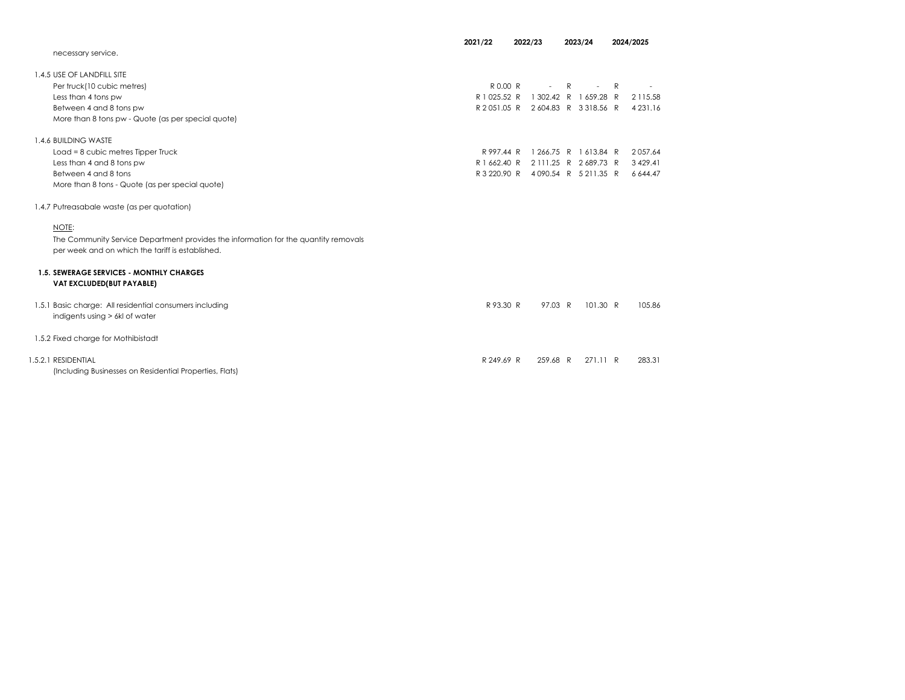|                                                                                     | 2021/22      | 2022/23                            | 2023/24               | 2024/2025     |
|-------------------------------------------------------------------------------------|--------------|------------------------------------|-----------------------|---------------|
| necessary service.                                                                  |              |                                    |                       |               |
| 1.4.5 USE OF LANDFILL SITE                                                          |              |                                    |                       |               |
| Per truck(10 cubic metres)                                                          | R 0.00 R     | $\overline{a}$                     | R<br>$\overline{a}$   | R             |
| Less than 4 tons pw                                                                 | R 1 025.52 R |                                    | 1 302.42 R 1 659.28 R | 2 115.58      |
| Between 4 and 8 tons pw                                                             |              | R 2051.05 R 2604.83 R 3318.56 R    |                       | 4 2 3 1 . 1 6 |
| More than 8 tons pw - Quote (as per special quote)                                  |              |                                    |                       |               |
| 1.4.6 BUILDING WASTE                                                                |              |                                    |                       |               |
| Load = 8 cubic metres Tipper Truck                                                  | R 997.44 R   |                                    | 1 266.75 R 1 613.84 R | 2057.64       |
| Less than 4 and 8 tons pw                                                           | R 1 662.40 R |                                    | 2 111.25 R 2 689.73 R | 3 4 29.41     |
| Between 4 and 8 tons                                                                |              | R 3 220.90 R 4 090.54 R 5 211.35 R |                       | 6 644.47      |
| More than 8 tons - Quote (as per special quote)                                     |              |                                    |                       |               |
| 1.4.7 Putreasabale waste (as per quotation)                                         |              |                                    |                       |               |
| NOTE:                                                                               |              |                                    |                       |               |
| The Community Service Department provides the information for the quantity removals |              |                                    |                       |               |
| per week and on which the tariff is established.                                    |              |                                    |                       |               |
| <b>1.5. SEWERAGE SERVICES - MONTHLY CHARGES</b>                                     |              |                                    |                       |               |
| VAT EXCLUDED(BUT PAYABLE)                                                           |              |                                    |                       |               |
| 1.5.1 Basic charge: All residential consumers including                             | R 93.30 R    | 97.03 R                            | 101.30 R              | 105.86        |
| indigents using > 6kl of water                                                      |              |                                    |                       |               |
| 1.5.2 Fixed charge for Mothibistadt                                                 |              |                                    |                       |               |
| 1.5.2.1 RESIDENTIAL                                                                 | R 249.69 R   | 259.68 R                           | 271.11 R              | 283.31        |
| (Including Businesses on Residential Properties, Flats)                             |              |                                    |                       |               |
|                                                                                     |              |                                    |                       |               |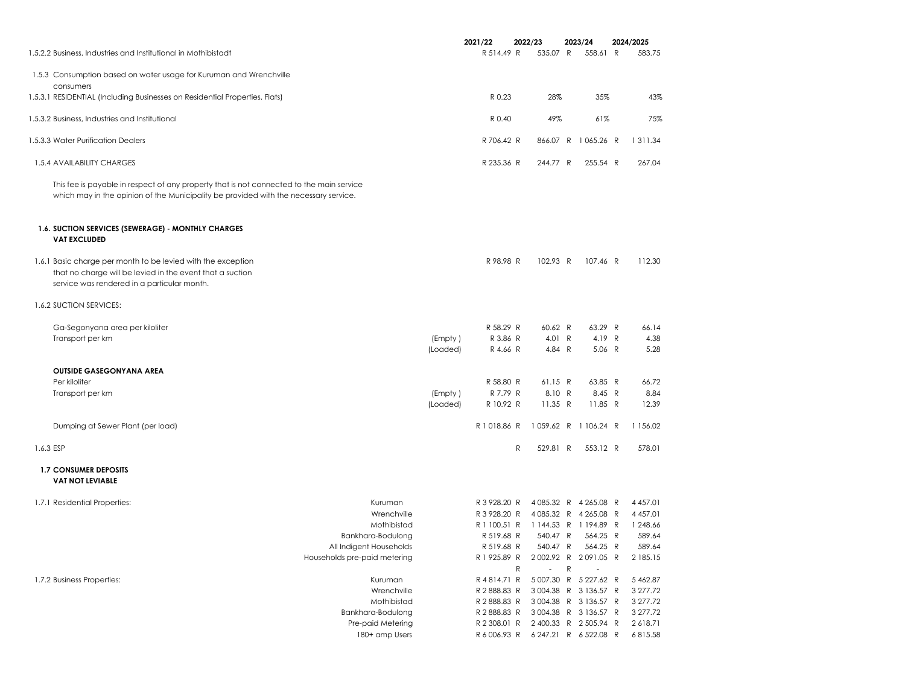| 1.5.2.2 Business, Industries and Institutional in Mothibistadt                                                                                                                   |                              |                     | 2021/22<br>R 514.49 R              | 2022/23<br>535.07 R   | 2023/24<br>558.61 R | 2024/2025<br>583.75 |
|----------------------------------------------------------------------------------------------------------------------------------------------------------------------------------|------------------------------|---------------------|------------------------------------|-----------------------|---------------------|---------------------|
| 1.5.3 Consumption based on water usage for Kuruman and Wrenchville                                                                                                               |                              |                     |                                    |                       |                     |                     |
| consumers<br>1.5.3.1 RESIDENTIAL (Including Businesses on Residential Properties, Flats)                                                                                         |                              |                     | R 0.23                             | 28%                   | 35%                 | 43%                 |
| 1.5.3.2 Business, Industries and Institutional                                                                                                                                   |                              |                     | R 0.40                             | 49%                   | 61%                 | 75%                 |
| 1.5.3.3 Water Purification Dealers                                                                                                                                               |                              |                     | R 706.42 R                         |                       | 866.07 R 1065.26 R  | 1 3 1 1 . 3 4       |
| 1.5.4 AVAILABILITY CHARGES                                                                                                                                                       |                              |                     | R 235.36 R                         | 244.77 R              | 255.54 R            | 267.04              |
| This fee is payable in respect of any property that is not connected to the main service<br>which may in the opinion of the Municipality be provided with the necessary service. |                              |                     |                                    |                       |                     |                     |
| 1.6. SUCTION SERVICES (SEWERAGE) - MONTHLY CHARGES<br><b>VAT EXCLUDED</b>                                                                                                        |                              |                     |                                    |                       |                     |                     |
| 1.6.1 Basic charge per month to be levied with the exception<br>that no charge will be levied in the event that a suction<br>service was rendered in a particular month.         |                              |                     | R 98.98 R                          | 102.93 R              | 107.46 R            | 112.30              |
| 1.6.2 SUCTION SERVICES:                                                                                                                                                          |                              |                     |                                    |                       |                     |                     |
| Ga-Segonyana area per kiloliter                                                                                                                                                  |                              |                     | R 58.29 R                          | 60.62 R               | 63.29 R             | 66.14               |
| Transport per km                                                                                                                                                                 |                              | (Empty)<br>(Loaded) | R 3.86 R<br>R 4.66 R               | 4.01 R<br>4.84 R      | 4.19 R<br>5.06 R    | 4.38<br>5.28        |
| <b>OUTSIDE GASEGONYANA AREA</b>                                                                                                                                                  |                              |                     |                                    |                       |                     |                     |
| Per kiloliter                                                                                                                                                                    |                              |                     | R 58.80 R                          | 61.15 R               | 63.85 R             | 66.72               |
| Transport per km                                                                                                                                                                 |                              | (Empty)             | R 7.79 R                           | 8.10 R                | 8.45 R              | 8.84                |
|                                                                                                                                                                                  |                              | (Loaded)            | R 10.92 R                          | 11.35 R               | 11.85 R             | 12.39               |
| Dumping at Sewer Plant (per load)                                                                                                                                                |                              |                     | R1018.86 R                         | 1059.62 R 1106.24 R   |                     | 1 156.02            |
| 1.6.3 ESP                                                                                                                                                                        |                              |                     | R                                  | 529.81 R              | 553.12 R            | 578.01              |
| <b>1.7 CONSUMER DEPOSITS</b><br><b>VAT NOT LEVIABLE</b>                                                                                                                          |                              |                     |                                    |                       |                     |                     |
| 1.7.1 Residential Properties:                                                                                                                                                    | Kuruman                      |                     | R 3 928.20 R                       | 4 085.32 R 4 265.08 R |                     | 4 4 5 7.01          |
|                                                                                                                                                                                  | Wrenchville                  |                     | R 3 928.20 R                       | 4 085.32 R 4 265.08 R |                     | 4 4 5 7.01          |
|                                                                                                                                                                                  | Mothibistad                  |                     | R 1 100.51 R                       | 1144.53 R 1194.89 R   |                     | 1 248.66            |
|                                                                                                                                                                                  | Bankhara-Bodulong            |                     | R 519.68 R                         | 540.47 R              | 564.25 R            | 589.64              |
|                                                                                                                                                                                  | All Indigent Households      |                     | R 519.68 R                         | 540.47 R              | 564.25 R            | 589.64              |
|                                                                                                                                                                                  | Households pre-paid metering |                     | R 1 925.89 R<br>${\sf R}$          | 2002.92 R 2091.05 R   | ${\sf R}$           | 2 185.15            |
| 1.7.2 Business Properties:                                                                                                                                                       | Kuruman                      |                     | R4814.71 R                         | 5 007.30 R 5 227.62 R |                     | 5 4 6 2.87          |
|                                                                                                                                                                                  | Wrenchville                  |                     | R 2 888.83 R                       | 3 004.38 R 3 136.57 R |                     | 3 277.72            |
|                                                                                                                                                                                  | Mothibistad                  |                     | R 2 888.83 R                       | 3004.38 R 3136.57 R   |                     | 3 277.72            |
|                                                                                                                                                                                  | Bankhara-Bodulong            |                     | R 2 888.83 R                       | 3004.38 R 3136.57 R   |                     | 3 277.72            |
|                                                                                                                                                                                  | Pre-paid Metering            |                     | R 2 308.01 R 2 400.33 R 2 505.94 R |                       |                     | 2618.71             |
|                                                                                                                                                                                  | 180+ amp Users               |                     | R 6 006.93 R                       | 6 247.21 R 6 522.08 R |                     | 6815.58             |
|                                                                                                                                                                                  |                              |                     |                                    |                       |                     |                     |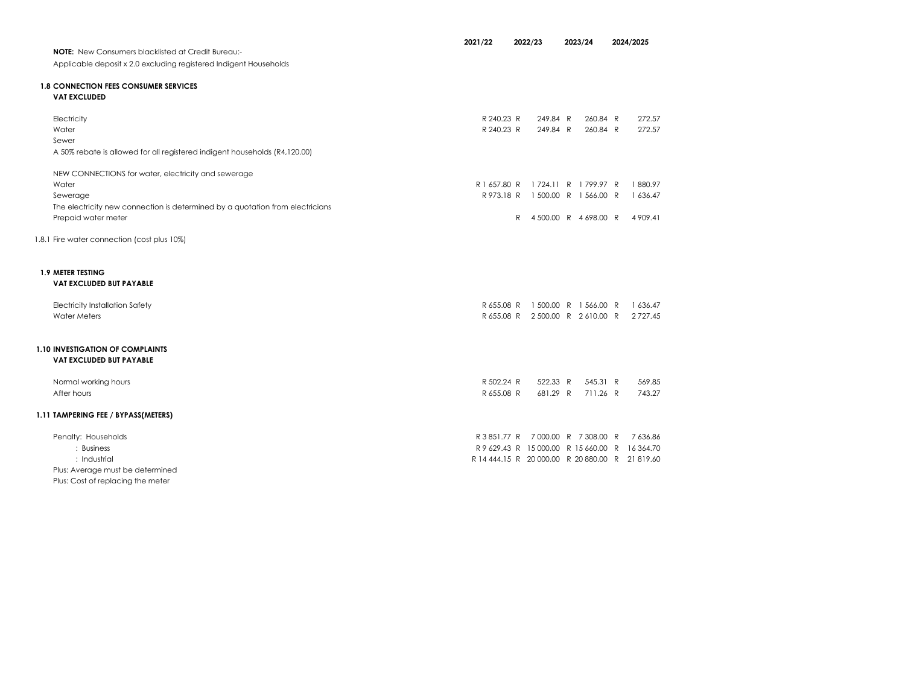| <b>NOTE:</b> New Consumers blacklisted at Credit Bureau:-                     | 2021/22                  | 2022/23              | 2023/24                                         |  | 2024/2025        |
|-------------------------------------------------------------------------------|--------------------------|----------------------|-------------------------------------------------|--|------------------|
| Applicable deposit x 2.0 excluding registered Indigent Households             |                          |                      |                                                 |  |                  |
|                                                                               |                          |                      |                                                 |  |                  |
| <b>1.8 CONNECTION FEES CONSUMER SERVICES</b>                                  |                          |                      |                                                 |  |                  |
| <b>VAT EXCLUDED</b>                                                           |                          |                      |                                                 |  |                  |
|                                                                               |                          |                      |                                                 |  |                  |
| Electricity<br>Water                                                          | R 240.23 R<br>R 240.23 R | 249.84 R<br>249.84 R | 260.84 R<br>260.84 R                            |  | 272.57<br>272.57 |
| Sewer                                                                         |                          |                      |                                                 |  |                  |
| A 50% rebate is allowed for all registered indigent households (R4,120.00)    |                          |                      |                                                 |  |                  |
|                                                                               |                          |                      |                                                 |  |                  |
| NEW CONNECTIONS for water, electricity and sewerage                           |                          |                      |                                                 |  |                  |
| Water                                                                         | R 1 657.80 R             |                      | 1724.11 R 1799.97 R                             |  | 1880.97          |
| Sewerage                                                                      |                          |                      | R973.18 R 1500.00 R 1566.00 R                   |  | 1 636.47         |
| The electricity new connection is determined by a quotation from electricians |                          |                      |                                                 |  |                  |
| Prepaid water meter                                                           |                          | $\mathsf{R}$         | 4500.00 R 4698.00 R                             |  | 4 909.41         |
|                                                                               |                          |                      |                                                 |  |                  |
| 1.8.1 Fire water connection (cost plus 10%)                                   |                          |                      |                                                 |  |                  |
|                                                                               |                          |                      |                                                 |  |                  |
| <b>1.9 METER TESTING</b>                                                      |                          |                      |                                                 |  |                  |
| <b>VAT EXCLUDED BUT PAYABLE</b>                                               |                          |                      |                                                 |  |                  |
|                                                                               |                          |                      |                                                 |  |                  |
| <b>Electricity Installation Safety</b>                                        | R 655.08 R               |                      | 1500.00 R 1566.00 R                             |  | 1 636.47         |
| <b>Water Meters</b>                                                           |                          |                      | R 655.08 R 2 500.00 R 2 610.00 R                |  | 2 7 2 7.45       |
|                                                                               |                          |                      |                                                 |  |                  |
|                                                                               |                          |                      |                                                 |  |                  |
| <b>1.10 INVESTIGATION OF COMPLAINTS</b>                                       |                          |                      |                                                 |  |                  |
| <b>VAT EXCLUDED BUT PAYABLE</b>                                               |                          |                      |                                                 |  |                  |
| Normal working hours                                                          | R 502.24 R               | 522.33 R             | 545.31 R                                        |  | 569.85           |
| After hours                                                                   | R 655.08 R               | 681.29 R             | 711.26 R                                        |  | 743.27           |
|                                                                               |                          |                      |                                                 |  |                  |
| 1.11 TAMPERING FEE / BYPASS(METERS)                                           |                          |                      |                                                 |  |                  |
|                                                                               |                          |                      |                                                 |  |                  |
| Penalty: Households                                                           | R 3 851.77 R             |                      | 7000.00 R 7308.00 R                             |  | 7 636.86         |
| : Business                                                                    |                          |                      | R 9 629.43 R 15 000.00 R 15 660.00 R            |  | 16 364.70        |
| : Industrial                                                                  |                          |                      | R 14 444.15 R 20 000.00 R 20 880.00 R 21 819.60 |  |                  |
| Plus: Average must be determined<br>Plus: Cost of replacing the meter         |                          |                      |                                                 |  |                  |
|                                                                               |                          |                      |                                                 |  |                  |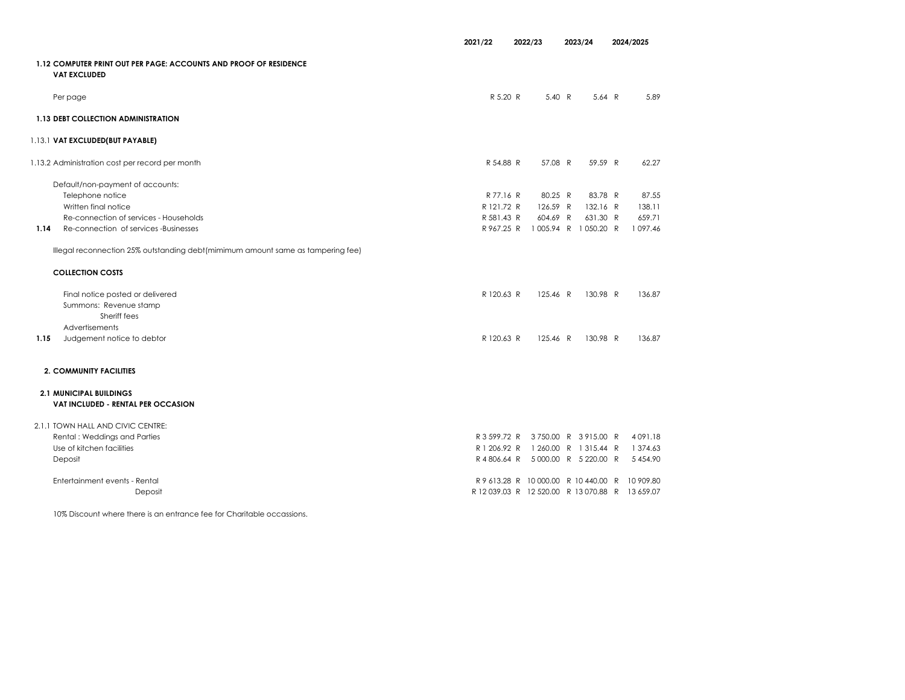|      |                                                                                          | 2021/22      | 2022/23  | 2023/24                               | 2024/2025     |        |
|------|------------------------------------------------------------------------------------------|--------------|----------|---------------------------------------|---------------|--------|
|      | 1.12 COMPUTER PRINT OUT PER PAGE: ACCOUNTS AND PROOF OF RESIDENCE<br><b>VAT EXCLUDED</b> |              |          |                                       |               |        |
|      | Per page                                                                                 | R 5.20 R     | 5.40 R   | 5.64 $R$                              |               | 5.89   |
|      | 1.13 DEBT COLLECTION ADMINISTRATION                                                      |              |          |                                       |               |        |
|      | 1.13.1 VAT EXCLUDED(BUT PAYABLE)                                                         |              |          |                                       |               |        |
|      | 1.13.2 Administration cost per record per month                                          | R 54.88 R    | 57.08 R  | 59.59 R                               |               | 62.27  |
|      | Default/non-payment of accounts:                                                         |              |          |                                       |               |        |
|      | Telephone notice                                                                         | R 77.16 R    | 80.25 R  | 83.78 R                               |               | 87.55  |
|      | Written final notice                                                                     | R 121.72 R   | 126.59 R | 132.16 R                              |               | 138.11 |
|      | Re-connection of services - Households                                                   | R 581.43 R   | 604.69 R | 631.30 R                              |               | 659.71 |
| 1.14 | Re-connection of services -Businesses                                                    |              |          | R967.25 R 1005.94 R 1050.20 R         | 1 0 9 7 . 4 6 |        |
|      | Illegal reconnection 25% outstanding debt(mimimum amount same as tampering fee)          |              |          |                                       |               |        |
|      | <b>COLLECTION COSTS</b>                                                                  |              |          |                                       |               |        |
|      | Final notice posted or delivered                                                         | R 120.63 R   | 125.46 R | 130.98 R                              |               | 136.87 |
|      | Summons: Revenue stamp                                                                   |              |          |                                       |               |        |
|      | Sheriff fees                                                                             |              |          |                                       |               |        |
|      | <b>Advertisements</b>                                                                    |              |          |                                       |               |        |
| 1.15 | Judgement notice to debtor                                                               | R 120.63 R   | 125.46 R | 130.98 R                              |               | 136.87 |
|      | 2. COMMUNITY FACILITIES                                                                  |              |          |                                       |               |        |
|      | <b>2.1 MUNICIPAL BUILDINGS</b>                                                           |              |          |                                       |               |        |
|      | VAT INCLUDED - RENTAL PER OCCASION                                                       |              |          |                                       |               |        |
|      | 2.1.1 TOWN HALL AND CIVIC CENTRE:                                                        |              |          |                                       |               |        |
|      | Rental: Weddings and Parties                                                             |              |          | R 3 599.72 R 3 750.00 R 3 915.00 R    | 4091.18       |        |
|      | Use of kitchen facilities                                                                | R 1 206.92 R |          | 1 260.00 R 1 315.44 R                 | 1 374.63      |        |
|      | Deposit                                                                                  |              |          | R 4 806.64 R 5 000.00 R 5 220.00 R    | 5 4 5 4 9 0   |        |
|      | Entertainment events - Rental                                                            |              |          | R 9 613.28 R 10 000.00 R 10 440.00 R  | 10 909.80     |        |
|      | Deposit                                                                                  |              |          | R 12 039.03 R 12 520.00 R 13 070.88 R | 13 659.07     |        |

10% Discount where there is an entrance fee for Charitable occassions.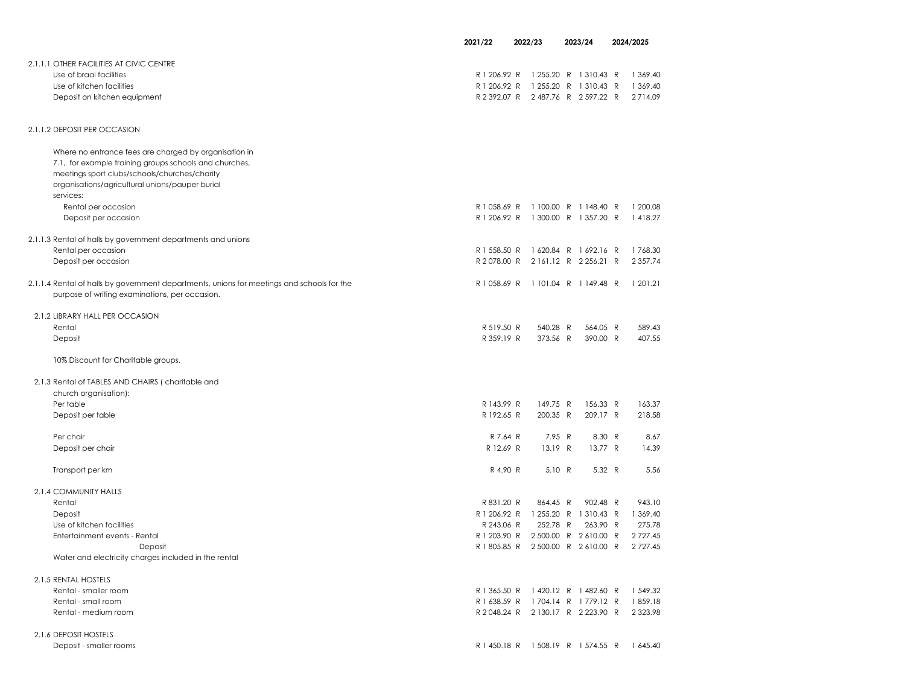|                                                                                            | 2021/22      | 2022/23                            |          | 2023/24                                      | 2024/2025     |
|--------------------------------------------------------------------------------------------|--------------|------------------------------------|----------|----------------------------------------------|---------------|
|                                                                                            |              |                                    |          |                                              |               |
| 2.1.1.1 OTHER FACILITIES AT CIVIC CENTRE                                                   |              |                                    |          |                                              |               |
| Use of braai facilities                                                                    | R 1 206.92 R |                                    |          | 1 255.20 R 1 310.43 R                        | 1 369.40      |
| Use of kitchen facilities                                                                  | R 1 206.92 R |                                    |          | 1 255.20 R 1 310.43 R                        | 1 369.40      |
| Deposit on kitchen equipment                                                               | R 2 392.07 R |                                    |          | 2487.76 R 2597.22 R                          | 2714.09       |
| 2.1.1.2 DEPOSIT PER OCCASION                                                               |              |                                    |          |                                              |               |
| Where no entrance fees are charged by organisation in                                      |              |                                    |          |                                              |               |
| 7.1, for example training groups schools and churches,                                     |              |                                    |          |                                              |               |
| meetings sport clubs/schools/churches/charity                                              |              |                                    |          |                                              |               |
| organisations/agricultural unions/pauper burial                                            |              |                                    |          |                                              |               |
| services:                                                                                  |              |                                    |          |                                              |               |
| Rental per occasion                                                                        | R 1 058.69 R |                                    |          | 1100.00 R 1148.40 R                          | 1 200.08      |
| Deposit per occasion                                                                       | R 1 206.92 R |                                    |          | 1 300.00 R 1 357.20 R                        | 1418.27       |
| 2.1.1.3 Rental of halls by government departments and unions                               |              |                                    |          |                                              |               |
| Rental per occasion                                                                        | R 1 558.50 R |                                    |          | 1620.84 R 1692.16 R                          | 1768.30       |
| Deposit per occasion                                                                       | R 2078.00 R  |                                    |          | 2161.12 R 2256.21 R                          | 2 3 5 7 . 7 4 |
| 2.1.1.4 Rental of halls by government departments, unions for meetings and schools for the | R 1 058.69 R |                                    |          | 1 101.04 R 1 149.48 R                        | 1 201.21      |
| purpose of writing examinations, per occasion.                                             |              |                                    |          |                                              |               |
| 2.1.2 LIBRARY HALL PER OCCASION                                                            |              |                                    |          |                                              |               |
| Rental                                                                                     | R 519.50 R   |                                    | 540.28 R | 564.05 R                                     | 589.43        |
| Deposit                                                                                    | R 359.19 R   |                                    | 373.56 R | 390.00 R                                     | 407.55        |
| 10% Discount for Charitable groups.                                                        |              |                                    |          |                                              |               |
| 2.1.3 Rental of TABLES AND CHAIRS (charitable and                                          |              |                                    |          |                                              |               |
| church organisation):                                                                      |              |                                    |          |                                              |               |
| Per table                                                                                  | R 143.99 R   |                                    | 149.75 R | 156.33 R                                     | 163.37        |
| Deposit per table                                                                          | R 192.65 R   |                                    | 200.35 R | 209.17 R                                     | 218.58        |
| Per chair                                                                                  | R 7.64 R     |                                    | 7.95 R   | 8.30 R                                       | 8.67          |
| Deposit per chair                                                                          | R 12.69 R    |                                    | 13.19 R  | 13.77 R                                      | 14.39         |
| Transport per km                                                                           | R 4.90 R     |                                    | 5.10 R   | 5.32 R                                       | 5.56          |
|                                                                                            |              |                                    |          |                                              |               |
| 2.1.4 COMMUNITY HALLS                                                                      |              |                                    |          |                                              |               |
| Rental                                                                                     | R 831.20 R   |                                    | 864.45 R | 902.48 R                                     | 943.10        |
| Deposit                                                                                    | R 1 206.92 R |                                    |          | 1 255.20 R 1 310.43 R                        | 1 369.40      |
| Use of kitchen facilities                                                                  | R 243.06 R   |                                    | 252.78 R | 263.90 R                                     | 275.78        |
| Entertainment events - Rental                                                              | R 1 203.90 R |                                    |          | 2 500.00 R 2 610.00 R<br>2500.00 R 2610.00 R | 2 7 2 7.45    |
| Deposit<br>Water and electricity charges included in the rental                            | R 1 805.85 R |                                    |          |                                              | 2 7 2 7.45    |
| 2.1.5 RENTAL HOSTELS                                                                       |              |                                    |          |                                              |               |
| Rental - smaller room                                                                      | R 1 365.50 R |                                    |          | 1420.12 R 1482.60 R                          | 1 549.32      |
| Rental - small room                                                                        | R 1 638.59 R |                                    |          | 1704.14 R 1779.12 R                          | 1859.18       |
| Rental - medium room                                                                       |              | R 2048.24 R 2130.17 R 2223.90 R    |          |                                              | 2 3 2 3 . 9 8 |
| 2.1.6 DEPOSIT HOSTELS                                                                      |              |                                    |          |                                              |               |
| Deposit - smaller rooms                                                                    |              | R 1 450.18 R 1 508.19 R 1 574.55 R |          |                                              | 1 645.40      |
|                                                                                            |              |                                    |          |                                              |               |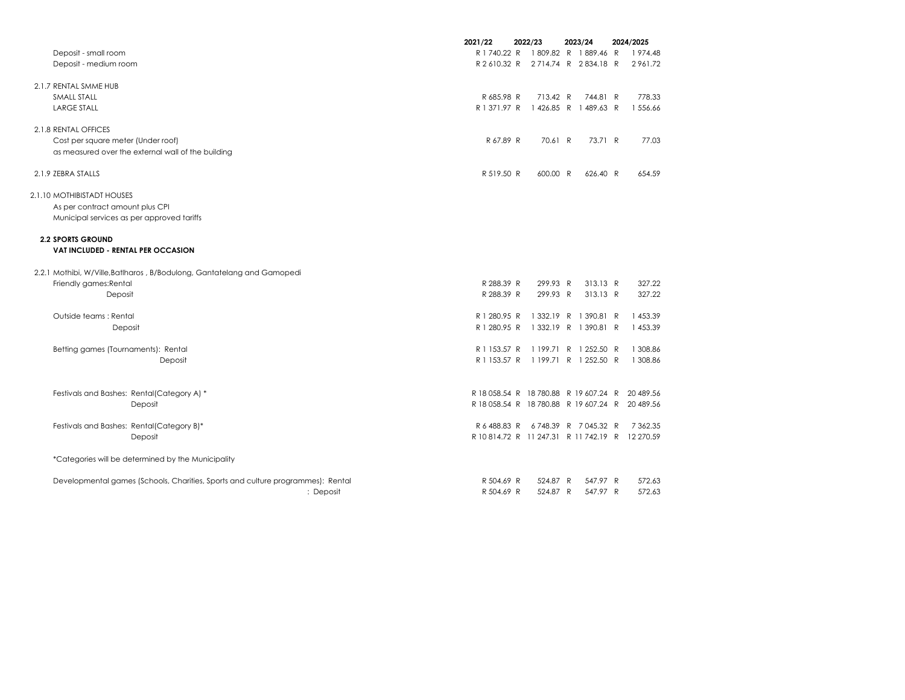|                                                                                 | 2021/22                                         | 2022/23                            | 2023/24               | 2024/2025     |
|---------------------------------------------------------------------------------|-------------------------------------------------|------------------------------------|-----------------------|---------------|
| Deposit - small room                                                            | R 1 740.22 R                                    |                                    | 1809.82 R 1889.46 R   | 1974.48       |
| Deposit - medium room                                                           |                                                 | R2610.32 R 2714.74 R 2834.18 R     |                       | 2961.72       |
| 2.1.7 RENTAL SMME HUB                                                           |                                                 |                                    |                       |               |
| SMALL STALL                                                                     | R 685.98 R                                      | 713.42 R                           | 744.81 R              | 778.33        |
| <b>LARGE STALL</b>                                                              | R 1 371.97 R                                    |                                    | 1426.85 R 1489.63 R   | 1 556.66      |
| 2.1.8 RENTAL OFFICES                                                            |                                                 |                                    |                       |               |
| Cost per square meter (Under roof)                                              | R 67.89 R                                       | 70.61 R                            | 73.71 R               | 77.03         |
| as measured over the external wall of the building                              |                                                 |                                    |                       |               |
| 2.1.9 ZEBRA STALLS                                                              | R 519.50 R                                      | 600.00 R                           | 626.40 R              | 654.59        |
| 2.1.10 MOTHIBISTADT HOUSES                                                      |                                                 |                                    |                       |               |
| As per contract amount plus CPI                                                 |                                                 |                                    |                       |               |
| Municipal services as per approved tariffs                                      |                                                 |                                    |                       |               |
| <b>2.2 SPORTS GROUND</b><br><b>VAT INCLUDED - RENTAL PER OCCASION</b>           |                                                 |                                    |                       |               |
| 2.2.1 Mothibi, W/Ville, Batlharos, B/Bodulong, Gantatelang and Gamopedi         |                                                 |                                    |                       |               |
|                                                                                 | R 288.39 R                                      | 299.93 R                           | 313.13 R              | 327.22        |
| Friendly games: Rental                                                          | R 288.39 R                                      | 299.93 R                           | 313.13 R              | 327.22        |
| Deposit                                                                         |                                                 |                                    |                       |               |
| Outside teams: Rental                                                           | R 1 280.95 R                                    |                                    | 1 332.19 R 1 390.81 R | 1 453.39      |
| Deposit                                                                         | R 1 280.95 R                                    |                                    | 1 332.19 R 1 390.81 R | 1 453.39      |
| Betting games (Tournaments): Rental                                             | R 1 153.57 R                                    |                                    | 1199.71 R 1252.50 R   | 1 308.86      |
| Deposit                                                                         |                                                 | R 1 153.57 R 1 199.71 R 1 252.50 R |                       | 1 308.86      |
|                                                                                 |                                                 |                                    |                       |               |
| Festivals and Bashes: Rental(Category A) *                                      | R 18 058.54 R 18 780.88 R 19 607.24 R           |                                    |                       | 20 489.56     |
| Deposit                                                                         | R 18 058.54 R 18 780.88 R 19 607.24 R 20 489.56 |                                    |                       |               |
| Festivals and Bashes: Rental(Category B)*                                       |                                                 | R 6 488.83 R 6 748.39 R 7 045.32 R |                       | 7 3 6 2 . 3 5 |
| Deposit                                                                         | R 10814.72 R 11 247.31 R 11 742.19 R 12 270.59  |                                    |                       |               |
| *Categories will be determined by the Municipality                              |                                                 |                                    |                       |               |
| Developmental games (Schools, Charities, Sports and culture programmes): Rental | R 504.69 R                                      | 524.87 R                           | 547.97 R              | 572.63        |
| : Deposit                                                                       | R 504.69 R                                      | 524.87 R                           | 547.97 R              | 572.63        |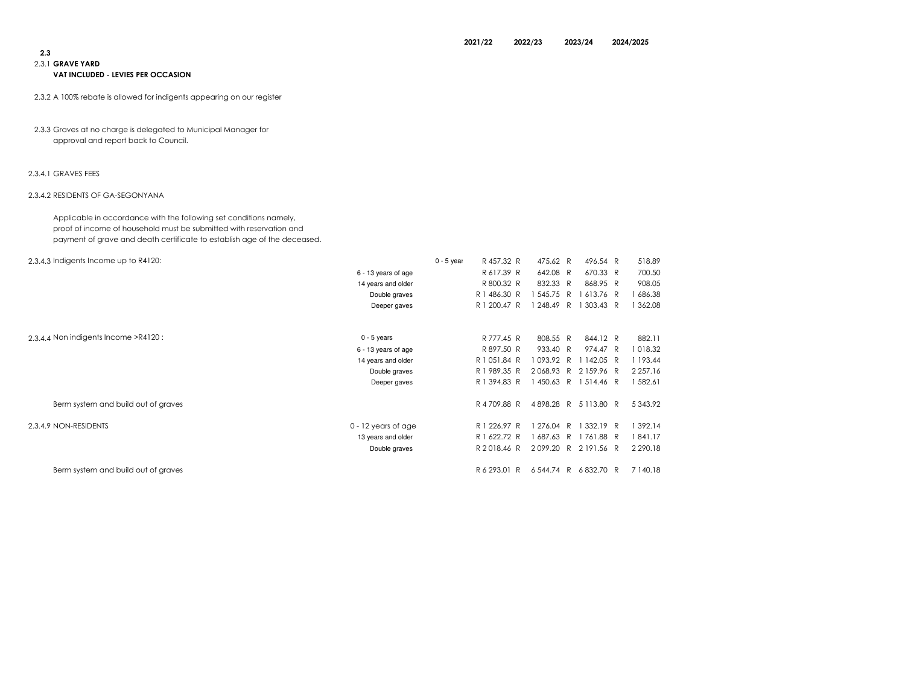# 2.3

## 2.3.1 GRAVE YARD

#### VAT INCLUDED - LEVIES PER OCCASION

- 2.3.2 A 100% rebate is allowed for indigents appearing on our register
- 2.3.3 Graves at no charge is delegated to Municipal Manager for approval and report back to Council.

#### 2.3.4.1 GRAVES FEES

#### 2.3.4.2 RESIDENTS OF GA-SEGONYANA

Applicable in accordance with the following set conditions namely, proof of income of household must be submitted with reservation andpayment of grave and death certificate to establish age of the deceased.

| 2.3.4.3 Indigents Income up to R4120:                 | $0 - 5$ year | R 457.32 R      | 475.62 R  | 496.54 R            | 518.89        |
|-------------------------------------------------------|--------------|-----------------|-----------|---------------------|---------------|
| 6 - 13 years of age                                   |              | R 617.39 R      | 642.08 R  | 670.33 R            | 700.50        |
| 14 years and older                                    |              | R 800.32 R      | 832.33 R  | 868.95 R            | 908.05        |
| Double graves                                         |              | R 1 486.30 R    | 545.75 R  | 613.76 R            | 686.38        |
| Deeper gaves                                          |              | R 1 200.47 R    | 248.49 R  | 1 303.43 R          | 362.08        |
| 2.3.4.4 Non indigents Income >R4120:<br>$0 - 5$ years |              | R 777.45 R      | 808.55 R  | 844.12 R            | 882.11        |
| 6 - 13 years of age                                   |              | R 897.50 R      | 933.40 R  | 974.47 R            | 018.32        |
| 14 years and older                                    |              | R 1 051.84 R    | 093.92 R  | 142.05 R            | 193.44        |
| Double graves                                         |              | 989.35 R<br>R 1 | 2068.93 R | 2159.96 R           | 2 2 5 7 . 1 6 |
| Deeper gaves                                          |              | R 1 394.83 R    | 450.63 R  | 1514.46 R           | 582.61        |
| Berm system and build out of graves                   |              | R 4 709.88 R    |           | 4898.28 R 5113.80 R | 5 3 4 3 . 9 2 |
| 2.3.4.9 NON-RESIDENTS<br>$0 - 12$ years of age        |              | R 1 226.97 R    | 276.04 R  | 1 332.19 R          | 392.14        |
| 13 years and older                                    |              | R 1 622.72 R    | 687.63 R  | 1761.88 R           | 841.17        |
| Double graves                                         |              | R2018.46 R      | 2099.20 R | 2191.56 R           | 2 2 9 0.18    |
| Berm system and build out of graves                   |              | R 6 293.01 R    | 6544.74 R | 6832.70 R           | 7 140.18      |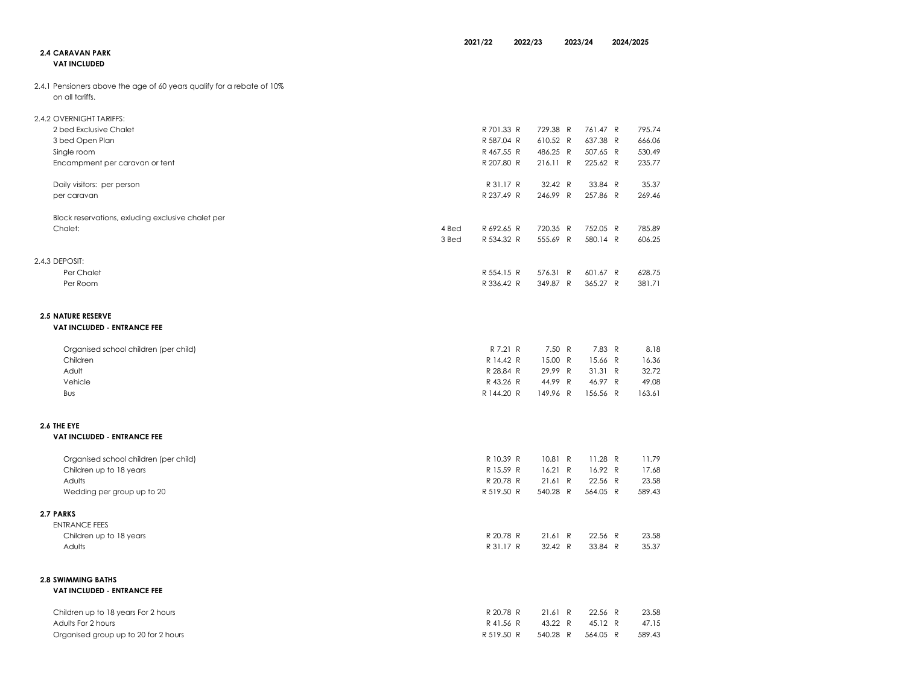|                                                                                           |       | 2021/22                 | 2022/23             | 2023/24 |                      | 2024/2025 |                 |
|-------------------------------------------------------------------------------------------|-------|-------------------------|---------------------|---------|----------------------|-----------|-----------------|
| <b>2.4 CARAVAN PARK</b><br><b>VAT INCLUDED</b>                                            |       |                         |                     |         |                      |           |                 |
| 2.4.1 Pensioners above the age of 60 years qualify for a rebate of 10%<br>on all tariffs. |       |                         |                     |         |                      |           |                 |
| 2.4.2 OVERNIGHT TARIFFS:                                                                  |       |                         |                     |         |                      |           |                 |
| 2 bed Exclusive Chalet                                                                    |       | R 701.33 R              | 729.38 R            |         | 761.47 R             |           | 795.74          |
| 3 bed Open Plan                                                                           |       | R 587.04 R              | 610.52 R            |         | 637.38 R             |           | 666.06          |
| Single room                                                                               |       | R 467.55 R              | 486.25 R            |         | 507.65 R             |           | 530.49          |
| Encampment per caravan or tent                                                            |       | R 207.80 R              | 216.11 R            |         | 225.62 R             |           | 235.77          |
| Daily visitors: per person                                                                |       | R 31.17 R               | 32.42 R             |         | 33.84 R              |           | 35.37           |
| per caravan                                                                               |       | R 237.49 R              | 246.99 R            |         | 257.86 R             |           | 269.46          |
| Block reservations, exluding exclusive chalet per                                         |       |                         |                     |         |                      |           |                 |
| Chalet:                                                                                   | 4 Bed | R 692.65 R              | 720.35 R            |         | 752.05 R             |           | 785.89          |
|                                                                                           | 3 Bed | R 534.32 R              | 555.69 R            |         | 580.14 R             |           | 606.25          |
| 2.4.3 DEPOSIT:                                                                            |       |                         |                     |         |                      |           |                 |
| Per Chalet                                                                                |       | R 554.15 R              | 576.31 R            |         | 601.67 R             |           | 628.75          |
| Per Room                                                                                  |       | R 336.42 R              | 349.87 R            |         | 365.27 R             |           | 381.71          |
| <b>2.5 NATURE RESERVE</b><br>VAT INCLUDED - ENTRANCE FEE                                  |       |                         |                     |         |                      |           |                 |
|                                                                                           |       |                         |                     |         |                      |           |                 |
| Organised school children (per child)                                                     |       | R 7.21 R                | 7.50 R              |         | 7.83 R               |           | 8.18            |
| Children                                                                                  |       | R 14.42 R               | 15.00 R             |         | 15.66 R              |           | 16.36           |
| Adult                                                                                     |       | R 28.84 R               | 29.99 R             |         | 31.31 R              |           | 32.72           |
| Vehicle<br>Bus                                                                            |       | R 43.26 R<br>R 144.20 R | 44.99 R<br>149.96 R |         | 46.97 R<br>156.56 R  |           | 49.08<br>163.61 |
|                                                                                           |       |                         |                     |         |                      |           |                 |
| 2.6 THE EYE<br>VAT INCLUDED - ENTRANCE FEE                                                |       |                         |                     |         |                      |           |                 |
|                                                                                           |       |                         |                     |         |                      |           |                 |
| Organised school children (per child)                                                     |       | R 10.39 R<br>R 15.59 R  | 10.81 R             |         | $11.28$ R<br>16.92 R |           | 11.79<br>17.68  |
| Children up to 18 years<br>Adults                                                         |       | R 20.78 R               | 16.21 R<br>21.61 R  |         | 22.56 R              |           | 23.58           |
| Wedding per group up to 20                                                                |       | R 519.50 R              | 540.28 R            |         | 564.05 R             |           | 589.43          |
| 2.7 PARKS                                                                                 |       |                         |                     |         |                      |           |                 |
| <b>ENTRANCE FEES</b>                                                                      |       |                         |                     |         |                      |           |                 |
| Children up to 18 years                                                                   |       | R 20.78 R               | 21.61 R             |         | 22.56 R              |           | 23.58           |
| Adults                                                                                    |       | R 31.17 R               | 32.42 R             |         | 33.84 R              |           | 35.37           |
| <b>2.8 SWIMMING BATHS</b>                                                                 |       |                         |                     |         |                      |           |                 |
| <b>VAT INCLUDED - ENTRANCE FEE</b>                                                        |       |                         |                     |         |                      |           |                 |
| Children up to 18 years For 2 hours                                                       |       | R 20.78 R               | 21.61 R             |         | 22.56 R              |           | 23.58           |
| Adults For 2 hours                                                                        |       | R 41.56 R               | 43.22 R             |         | 45.12 R              |           | 47.15           |
| Organised group up to 20 for 2 hours                                                      |       | R 519.50 R              | 540.28 R            |         | 564.05 R             |           | 589.43          |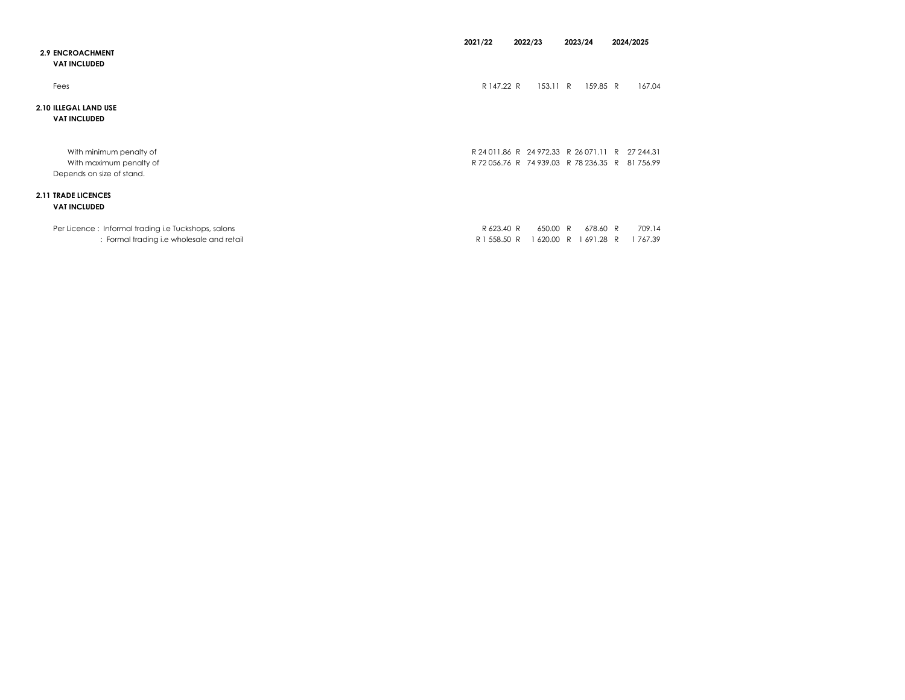|                                                                                                  | 2021/22                    | 2022/23<br>2023/24                                                             |                            | 2024/2025             |
|--------------------------------------------------------------------------------------------------|----------------------------|--------------------------------------------------------------------------------|----------------------------|-----------------------|
| <b>2.9 ENCROACHMENT</b><br><b>VAT INCLUDED</b>                                                   |                            |                                                                                |                            |                       |
| Fees                                                                                             | R 147.22 R                 | 153.11 R                                                                       | 159.85 R                   | 167.04                |
| 2.10 ILLEGAL LAND USE<br><b>VAT INCLUDED</b>                                                     |                            |                                                                                |                            |                       |
| With minimum penalty of<br>With maximum penalty of<br>Depends on size of stand.                  |                            | R 24 011.86 R 24 972.33 R 26 071.11 R<br>R 72 056.76 R 74 939.03 R 78 236.35 R |                            | 27 244.31<br>81756.99 |
| <b>2.11 TRADE LICENCES</b><br><b>VAT INCLUDED</b>                                                |                            |                                                                                |                            |                       |
| Per Licence: Informal trading i.e Tuckshops, salons<br>: Formal trading i.e wholesale and retail | R 623.40 R<br>R 1 558.50 R | 650.00 R<br>620.00                                                             | 678.60 R<br>1691.28 R<br>R | 709.14<br>1767.39     |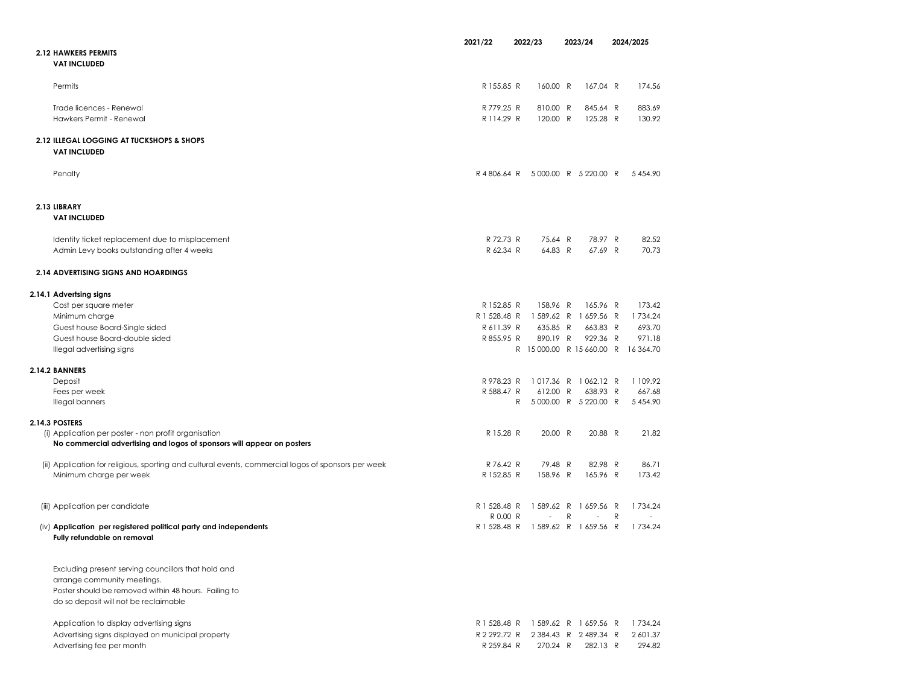|                                                                                                     | 2021/22      |   | 2022/23                                         |   | 2023/24               |   | 2024/2025     |
|-----------------------------------------------------------------------------------------------------|--------------|---|-------------------------------------------------|---|-----------------------|---|---------------|
| <b>2.12 HAWKERS PERMITS</b>                                                                         |              |   |                                                 |   |                       |   |               |
| <b>VAT INCLUDED</b>                                                                                 |              |   |                                                 |   |                       |   |               |
|                                                                                                     |              |   |                                                 |   |                       |   |               |
| Permits                                                                                             | R 155.85 R   |   | 160.00 R                                        |   | 167.04 R              |   | 174.56        |
|                                                                                                     |              |   |                                                 |   |                       |   |               |
| Trade licences - Renewal                                                                            | R 779.25 R   |   | 810.00 R                                        |   | 845.64 R              |   | 883.69        |
| Hawkers Permit - Renewal                                                                            | R 114.29 R   |   | 120.00 R                                        |   | 125.28 R              |   | 130.92        |
| 2.12 ILLEGAL LOGGING AT TUCKSHOPS & SHOPS                                                           |              |   |                                                 |   |                       |   |               |
| <b>VAT INCLUDED</b>                                                                                 |              |   |                                                 |   |                       |   |               |
|                                                                                                     |              |   |                                                 |   |                       |   |               |
| Penalty                                                                                             | R4806.64 R   |   |                                                 |   | 5000.00 R 5220.00 R   |   | 5 4 5 4 9 0   |
|                                                                                                     |              |   |                                                 |   |                       |   |               |
|                                                                                                     |              |   |                                                 |   |                       |   |               |
| 2.13 LIBRARY                                                                                        |              |   |                                                 |   |                       |   |               |
| <b>VAT INCLUDED</b>                                                                                 |              |   |                                                 |   |                       |   |               |
|                                                                                                     | R 72.73 R    |   | 75.64 R                                         |   | 78.97 R               |   | 82.52         |
| Identity ticket replacement due to misplacement<br>Admin Levy books outstanding after 4 weeks       | R 62.34 R    |   | 64.83 R                                         |   | 67.69 R               |   | 70.73         |
|                                                                                                     |              |   |                                                 |   |                       |   |               |
| 2.14 ADVERTISING SIGNS AND HOARDINGS                                                                |              |   |                                                 |   |                       |   |               |
|                                                                                                     |              |   |                                                 |   |                       |   |               |
| 2.14.1 Advertsing signs                                                                             |              |   |                                                 |   |                       |   |               |
| Cost per square meter                                                                               | R 152.85 R   |   | 158.96 R                                        |   | 165.96 R              |   | 173.42        |
| Minimum charge                                                                                      | R 1 528.48 R |   |                                                 |   | 1 589.62 R 1 659.56 R |   | 1734.24       |
| Guest house Board-Single sided                                                                      | R 611.39 R   |   | 635.85 R                                        |   | 663.83 R              |   | 693.7C        |
| Guest house Board-double sided                                                                      | R 855.95 R   |   | 890.19 R<br>R 15 000.00 R 15 660.00 R 16 364.70 |   | 929.36 R              |   | 971.18        |
| Illegal advertising signs                                                                           |              |   |                                                 |   |                       |   |               |
| 2.14.2 BANNERS                                                                                      |              |   |                                                 |   |                       |   |               |
| Deposit                                                                                             | R 978.23 R   |   |                                                 |   | 1017.36 R 1062.12 R   |   | 1 109.92      |
| Fees per week                                                                                       | R 588.47 R   |   | 612.00 R                                        |   | 638.93 R              |   | 667.68        |
| Illegal banners                                                                                     |              | R |                                                 |   | 5 000.00 R 5 220.00 R |   | 5 4 5 4 . 9 0 |
| 2.14.3 POSTERS                                                                                      |              |   |                                                 |   |                       |   |               |
| (i) Application per poster - non profit organisation                                                | R 15.28 R    |   | 20.00 R                                         |   | 20.88 R               |   | 21.82         |
| No commercial advertising and logos of sponsors will appear on posters                              |              |   |                                                 |   |                       |   |               |
|                                                                                                     |              |   |                                                 |   |                       |   |               |
| (ii) Application for religious, sporting and cultural events, commercial logos of sponsors per week | R 76.42 R    |   | 79.48 R                                         |   | 82.98 R               |   | 86.71         |
| Minimum charge per week                                                                             | R 152.85 R   |   | 158.96 R                                        |   | 165.96 R              |   | 173.42        |
|                                                                                                     |              |   |                                                 |   |                       |   |               |
| (iii) Application per candidate                                                                     | R 1 528.48 R |   |                                                 |   | 1 589.62 R 1 659.56 R |   | 1734.24       |
|                                                                                                     | R 0.00 R     |   |                                                 | R |                       | R |               |
| (iv) Application per registered political party and independents                                    | R 1 528.48 R |   |                                                 |   | 1589.62 R 1659.56 R   |   | 1734.24       |
| Fully refundable on removal                                                                         |              |   |                                                 |   |                       |   |               |
|                                                                                                     |              |   |                                                 |   |                       |   |               |
| Excluding present serving councillors that hold and                                                 |              |   |                                                 |   |                       |   |               |
| arrange community meetings.                                                                         |              |   |                                                 |   |                       |   |               |
| Poster should be removed within 48 hours. Failing to                                                |              |   |                                                 |   |                       |   |               |
| do so deposit will not be reclaimable                                                               |              |   |                                                 |   |                       |   |               |
|                                                                                                     |              |   |                                                 |   |                       |   |               |
| Application to display advertising signs                                                            |              |   | R 1 528.48 R 1 589.62 R 1 659.56 R              |   |                       |   | 1734.24       |
| Advertising signs displayed on municipal property                                                   | R 2 292.72 R |   |                                                 |   | 2 384.43 R 2 489.34 R |   | 2 601.37      |
| Advertising fee per month                                                                           | R 259.84 R   |   | 270.24 R                                        |   | 282.13 R              |   | 294.82        |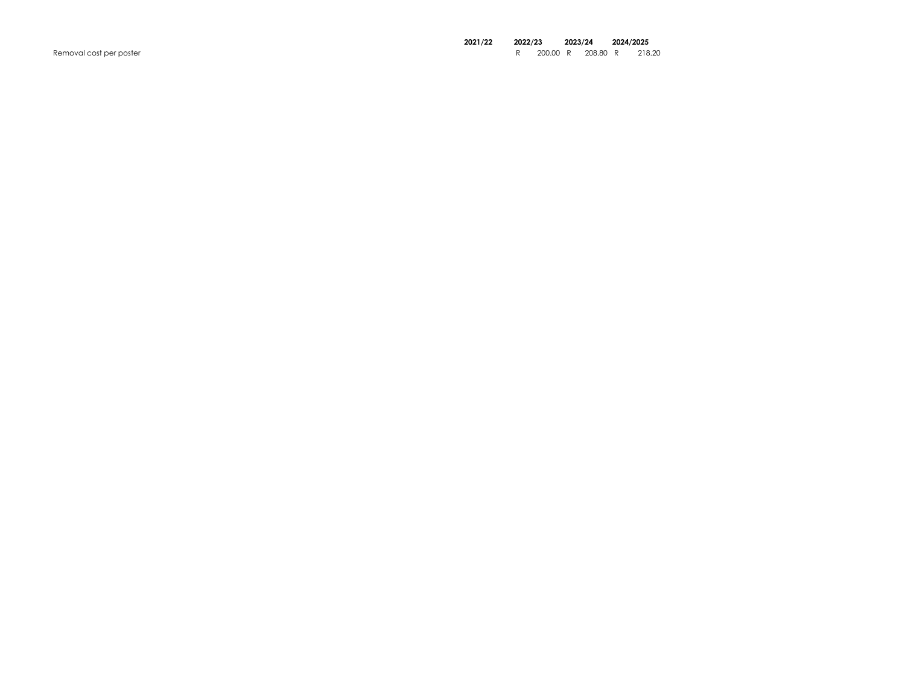Removal cost per poster

# 2021/22 2022/23 2023/24 2024/2025

r 200.00 R 208.80 R 218.20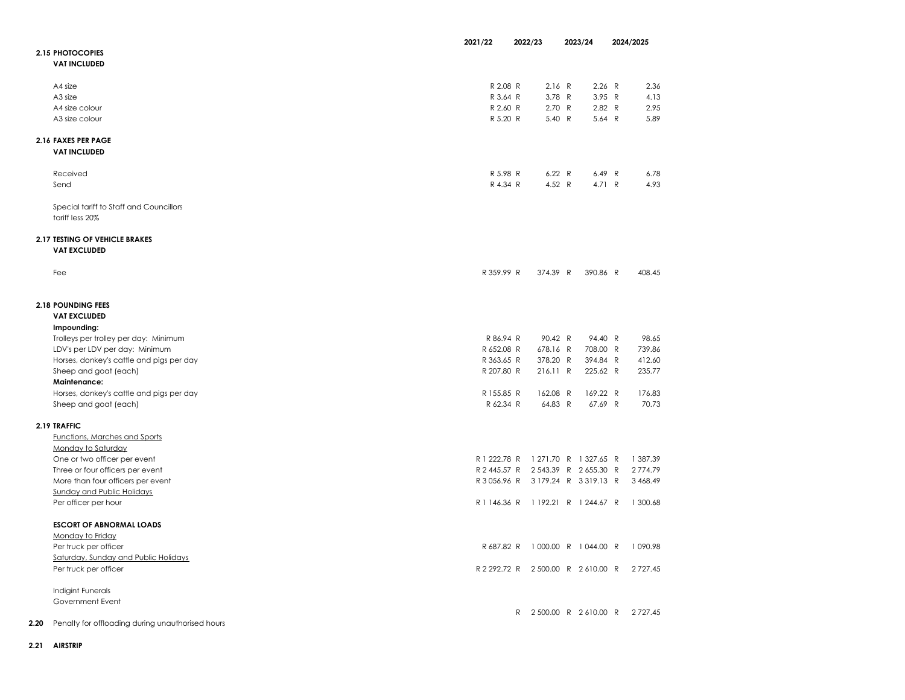|                                                       | 2021/22      | 2022/23                            | 2023/24               | 2024/2025     |
|-------------------------------------------------------|--------------|------------------------------------|-----------------------|---------------|
| 2.15 PHOTOCOPIES                                      |              |                                    |                       |               |
| <b>VAT INCLUDED</b>                                   |              |                                    |                       |               |
|                                                       |              |                                    |                       |               |
|                                                       |              |                                    |                       |               |
| A4 size                                               | R 2.08 R     | 2.16 R                             | 2.26 R                | 2.36          |
| A <sub>3</sub> size                                   | R 3.64 R     | 3.78 R                             | 3.95 R                | 4.13          |
| A4 size colour                                        | R 2.60 R     | 2.70 R                             | 2.82 R                | 2.95          |
| A3 size colour                                        | R 5.20 R     | 5.40 R                             | 5.64 R                | 5.89          |
|                                                       |              |                                    |                       |               |
| 2.16 FAXES PER PAGE                                   |              |                                    |                       |               |
| <b>VAT INCLUDED</b>                                   |              |                                    |                       |               |
|                                                       |              |                                    |                       |               |
| Received                                              | R 5.98 R     | 6.22 R                             | 6.49 R                | 6.78          |
|                                                       |              | 4.52 $R$                           | 4.71 R                |               |
| Send                                                  | R 4.34 R     |                                    |                       | 4.93          |
|                                                       |              |                                    |                       |               |
| Special tariff to Staff and Councillors               |              |                                    |                       |               |
| tariff less 20%                                       |              |                                    |                       |               |
|                                                       |              |                                    |                       |               |
| 2.17 TESTING OF VEHICLE BRAKES                        |              |                                    |                       |               |
| <b>VAT EXCLUDED</b>                                   |              |                                    |                       |               |
|                                                       |              |                                    |                       |               |
| Fee                                                   | R 359.99 R   | 374.39 R                           | 390.86 R              | 408.45        |
|                                                       |              |                                    |                       |               |
|                                                       |              |                                    |                       |               |
|                                                       |              |                                    |                       |               |
| <b>2.18 POUNDING FEES</b>                             |              |                                    |                       |               |
| <b>VAT EXCLUDED</b>                                   |              |                                    |                       |               |
| Impounding:                                           |              |                                    |                       |               |
| Trolleys per trolley per day: Minimum                 | R 86.94 R    | 90.42 R                            | 94.40 R               | 98.65         |
| LDV's per LDV per day: Minimum                        | R 652.08 R   | 678.16 R                           | 708.00 R              | 739.86        |
| Horses, donkey's cattle and pigs per day              | R 363.65 R   | 378.20 R                           | 394.84 R              | 412.60        |
| Sheep and goat (each)                                 | R 207.80 R   | 216.11 R                           | 225.62 R              | 235.77        |
| <b>Maintenance:</b>                                   |              |                                    |                       |               |
|                                                       |              |                                    |                       |               |
| Horses, donkey's cattle and pigs per day              | R 155.85 R   | 162.08 R                           | 169.22 R              | 176.83        |
| Sheep and goat (each)                                 | R 62.34 R    | 64.83 R                            | 67.69 R               | 70.73         |
|                                                       |              |                                    |                       |               |
| 2.19 TRAFFIC                                          |              |                                    |                       |               |
| Functions, Marches and Sports                         |              |                                    |                       |               |
| Monday to Saturday                                    |              |                                    |                       |               |
| One or two officer per event                          | R 1 222.78 R |                                    | 1 271.70 R 1 327.65 R | 1 387.39      |
| Three or four officers per event                      |              | R 2 445.57 R 2 543.39 R 2 655.30 R |                       | 2774.79       |
| More than four officers per event                     |              | R3056.96 R 3179.24 R 3319.13 R     |                       | 3 468.49      |
| Sunday and Public Holidays                            |              |                                    |                       |               |
| Per officer per hour                                  |              | R1146.36 R 1192.21 R 1244.67 R     |                       | 1 300.68      |
|                                                       |              |                                    |                       |               |
|                                                       |              |                                    |                       |               |
| <b>ESCORT OF ABNORMAL LOADS</b>                       |              |                                    |                       |               |
| Monday to Friday                                      |              |                                    |                       |               |
| Per truck per officer                                 | R 687.82 R   |                                    | 1000.00 R 1044.00 R   | 1090.98       |
| Saturday, Sunday and Public Holidays                  |              |                                    |                       |               |
| Per truck per officer                                 |              | R 2 292.72 R 2 500.00 R 2 610.00 R |                       | 2 7 2 7.45    |
|                                                       |              |                                    |                       |               |
| Indigint Funerals                                     |              |                                    |                       |               |
| Government Event                                      |              |                                    |                       |               |
|                                                       |              | $\mathsf{R}$                       | 2500.00 R 2610.00 R   | 2 7 2 7 . 4 5 |
|                                                       |              |                                    |                       |               |
| 2.20 Penalty for offloading during unauthorised hours |              |                                    |                       |               |

2.21 AIRSTRIP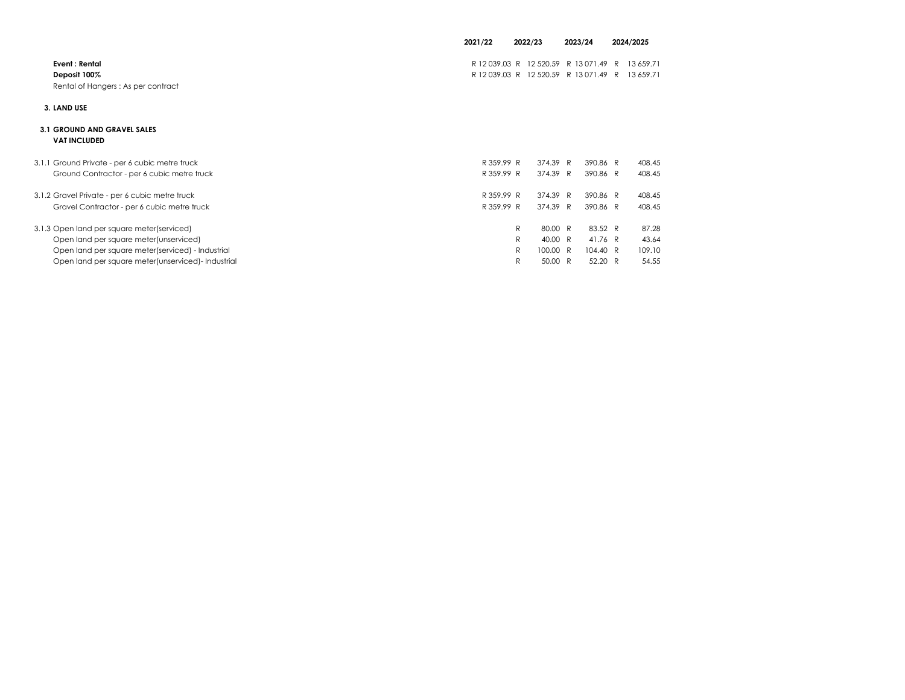|                                                                      | 2021/22<br>2022/23 |                                                                        |          |              |                        |  |  |  | 2023/24 |  | 2024/2025 |
|----------------------------------------------------------------------|--------------------|------------------------------------------------------------------------|----------|--------------|------------------------|--|--|--|---------|--|-----------|
| Event : Rental<br>Deposit 100%<br>Rental of Hangers: As per contract |                    | R 12039.03 R 12520.59 R 13071.49<br>R 12039.03 R 12520.59 R 13071.49 R |          | $\mathsf{R}$ | 13 659.71<br>13 659.71 |  |  |  |         |  |           |
| 3. LAND USE                                                          |                    |                                                                        |          |              |                        |  |  |  |         |  |           |
| <b>3.1 GROUND AND GRAVEL SALES</b><br><b>VAT INCLUDED</b>            |                    |                                                                        |          |              |                        |  |  |  |         |  |           |
| 3.1.1 Ground Private - per 6 cubic metre truck                       | R 359.99 R         | 374.39 R                                                               | 390.86 R |              | 408.45                 |  |  |  |         |  |           |
| Ground Contractor - per 6 cubic metre truck                          | R 359.99 R         | 374.39 R                                                               | 390.86 R |              | 408.45                 |  |  |  |         |  |           |
| 3.1.2 Gravel Private - per 6 cubic metre truck                       | R 359.99 R         | 374.39 R                                                               | 390.86 R |              | 408.45                 |  |  |  |         |  |           |
| Gravel Contractor - per 6 cubic metre truck                          | R 359.99 R         | 374.39 R                                                               | 390.86 R |              | 408.45                 |  |  |  |         |  |           |
| 3.1.3 Open land per square meter(serviced)                           |                    | $\mathsf{R}$<br>80.00 R                                                | 83.52 R  |              | 87.28                  |  |  |  |         |  |           |
| Open land per square meter(unserviced)                               |                    | R<br>40.00 R                                                           | 41.76 R  |              | 43.64                  |  |  |  |         |  |           |
| Open land per square meter(serviced) - Industrial                    |                    | $\mathsf{R}$<br>100.00 R                                               | 104.40 R |              | 109.10                 |  |  |  |         |  |           |
| Open land per square meter (unserviced) - Industrial                 |                    | 50.00 R<br>R                                                           | 52.20 R  |              | 54.55                  |  |  |  |         |  |           |

50.00 R 52.20 R 54.55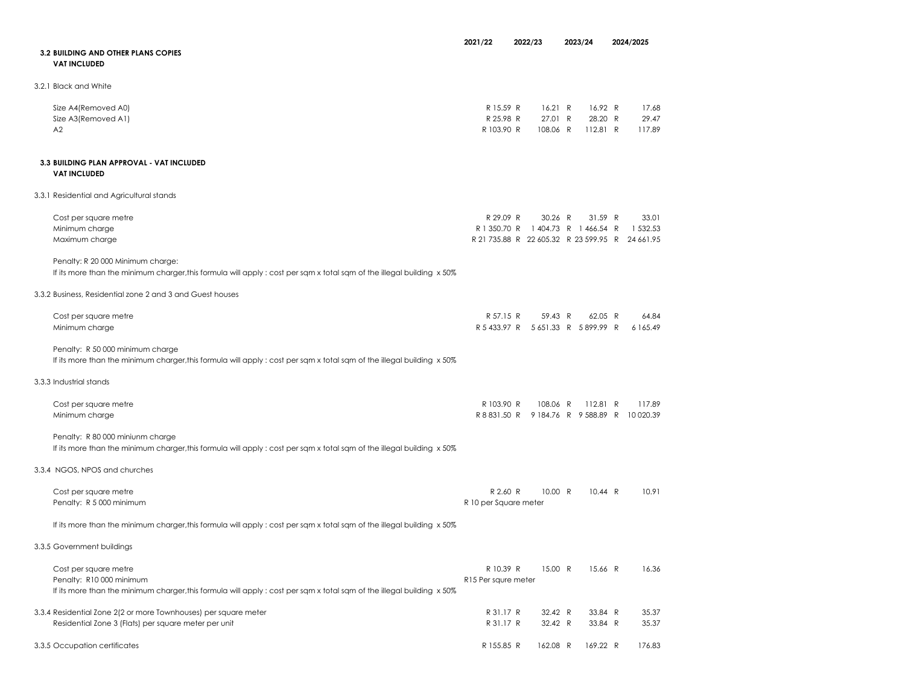|                                                                                                                        | 2021/22               | 2022/23                                         | 2023/24  |         | 2024/2025 |
|------------------------------------------------------------------------------------------------------------------------|-----------------------|-------------------------------------------------|----------|---------|-----------|
| <b>3.2 BUILDING AND OTHER PLANS COPIES</b>                                                                             |                       |                                                 |          |         |           |
| <b>VAT INCLUDED</b>                                                                                                    |                       |                                                 |          |         |           |
| 3.2.1 Black and White                                                                                                  |                       |                                                 |          |         |           |
| Size A4(Removed A0)                                                                                                    | R 15.59 R             | 16.21 R                                         |          | 16.92 R | 17.68     |
| Size A3(Removed A1)                                                                                                    | R 25.98 R             | 27.01 R                                         |          | 28.20 R | 29.47     |
| A2                                                                                                                     | R 103.90 R            | 108.06 R                                        | 112.81 R |         | 117.89    |
| 3.3 BUILDING PLAN APPROVAL - VAT INCLUDED                                                                              |                       |                                                 |          |         |           |
| <b>VAT INCLUDED</b>                                                                                                    |                       |                                                 |          |         |           |
| 3.3.1 Residential and Agricultural stands                                                                              |                       |                                                 |          |         |           |
| Cost per square metre                                                                                                  | R 29.09 R             | 30.26 R                                         |          | 31.59 R | 33.01     |
| Minimum charge                                                                                                         |                       | R 1 350.70 R 1 404.73 R 1 466.54 R              |          |         | 1 532.53  |
| Maximum charge                                                                                                         |                       | R 21 735.88 R 22 605.32 R 23 599.95 R 24 661.95 |          |         |           |
| Penalty: R 20 000 Minimum charge:                                                                                      |                       |                                                 |          |         |           |
| If its more than the minimum charger, this formula will apply : cost per sqm x total sqm of the illegal building x 50% |                       |                                                 |          |         |           |
| 3.3.2 Business, Residential zone 2 and 3 and Guest houses                                                              |                       |                                                 |          |         |           |
| Cost per square metre                                                                                                  | R 57.15 R             | 59.43 R                                         |          | 62.05 R | 64.84     |
| Minimum charge                                                                                                         |                       | R 5 433.97 R 5 651.33 R 5 899.99 R              |          |         | 6 165.49  |
| Penalty: R 50 000 minimum charge                                                                                       |                       |                                                 |          |         |           |
| If its more than the minimum charger, this formula will apply : cost per sqm x total sqm of the illegal building x 50% |                       |                                                 |          |         |           |
| 3.3.3 Industrial stands                                                                                                |                       |                                                 |          |         |           |
| Cost per square metre                                                                                                  | R 103.90 R            | 108.06 R                                        | 112.81 R |         | 117.89    |
| Minimum charge                                                                                                         |                       | R 8 831.50 R 9 184.76 R 9 588.89 R 10 020.39    |          |         |           |
| Penalty: R 80 000 miniunm charge                                                                                       |                       |                                                 |          |         |           |
| If its more than the minimum charger, this formula will apply : cost per sqm x total sqm of the illegal building x 50% |                       |                                                 |          |         |           |
| 3.3.4 NGOS, NPOS and churches                                                                                          |                       |                                                 |          |         |           |
| Cost per square metre                                                                                                  | R 2.60 R              | 10.00 R                                         |          | 10.44 R | 10.91     |
| Penalty: R 5 000 minimum                                                                                               | R 10 per Square meter |                                                 |          |         |           |
| If its more than the minimum charger, this formula will apply: cost per sqm x total sqm of the illegal building x 50%  |                       |                                                 |          |         |           |
| 3.3.5 Government buildings                                                                                             |                       |                                                 |          |         |           |
| Cost per square metre                                                                                                  | R 10.39 R             | 15.00 R                                         |          | 15.66 R | 16.36     |
| Penalty: R10 000 minimum                                                                                               | R15 Per squre meter   |                                                 |          |         |           |
| If its more than the minimum charger, this formula will apply: cost per sqm x total sqm of the illegal building x 50%  |                       |                                                 |          |         |           |
| 3.3.4 Residential Zone 2(2 or more Townhouses) per square meter                                                        | R 31.17 R             | 32.42 R                                         |          | 33.84 R | 35.37     |
| Residential Zone 3 (Flats) per square meter per unit                                                                   | R 31.17 R             | 32.42 R                                         |          | 33.84 R | 35.37     |
| 3.3.5 Occupation certificates                                                                                          | R 155.85 R            | 162.08 R                                        | 169.22 R |         | 176.83    |
|                                                                                                                        |                       |                                                 |          |         |           |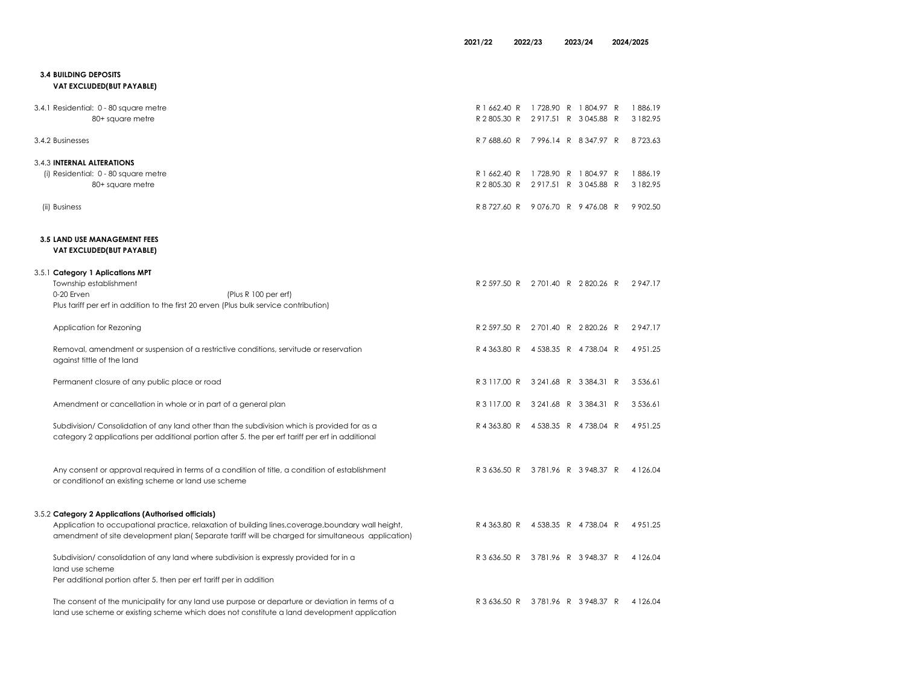| <b>3.4 BUILDING DEPOSITS</b><br>VAT EXCLUDED(BUT PAYABLE)                                                                                                                                                |                                                                       |  |                     |
|----------------------------------------------------------------------------------------------------------------------------------------------------------------------------------------------------------|-----------------------------------------------------------------------|--|---------------------|
| 3.4.1 Residential: 0 - 80 square metre<br>80+ square metre                                                                                                                                               | R 1 662.40 R 1 728.90 R 1 804.97 R<br>R 2805.30 R 2917.51 R 3045.88 R |  | 1886.19<br>3 182.95 |
| 3.4.2 Businesses                                                                                                                                                                                         | R 7 688.60 R 7 996.14 R 8 347.97 R                                    |  | 8723.63             |
| 3.4.3 INTERNAL ALTERATIONS<br>(i) Residential: 0 - 80 square metre<br>80+ square metre                                                                                                                   | R 1 662.40 R 1 728.90 R 1 804.97 R<br>R 2805.30 R 2917.51 R 3045.88 R |  | 1886.19<br>3 182.95 |
| (ii) Business                                                                                                                                                                                            | R 8 727.60 R 9 076.70 R 9 476.08 R                                    |  | 9 902.50            |
| <b>3.5 LAND USE MANAGEMENT FEES</b><br>VAT EXCLUDED(BUT PAYABLE)                                                                                                                                         |                                                                       |  |                     |
| 3.5.1 Category 1 Aplications MPT<br>Township establishment<br>0-20 Erven<br>(Plus R 100 per erf)<br>Plus tariff per erf in addition to the first 20 erven (Plus bulk service contribution)               | R 2 597.50 R 2 701.40 R 2 820.26 R                                    |  | 2947.17             |
| Application for Rezoning                                                                                                                                                                                 | R 2 597.50 R 2 701.40 R 2 820.26 R                                    |  | 2947.17             |
| Removal, amendment or suspension of a restrictive conditions, servitude or reservation<br>against tittle of the land                                                                                     | R 4 363.80 R 4 538.35 R 4 738.04 R                                    |  | 4 9 5 1 . 2 5       |
| Permanent closure of any public place or road                                                                                                                                                            | R 3 117.00 R 3 241.68 R 3 384.31 R                                    |  | 3 5 3 6 . 6 1       |
| Amendment or cancellation in whole or in part of a general plan                                                                                                                                          | R 3 117.00 R 3 241.68 R 3 384.31 R                                    |  | 3 5 3 6 . 6 1       |
| Subdivision/ Consolidation of any land other than the subdivision which is provided for as a<br>category 2 applications per additional portion after 5, the per erf tariff per erf in additional         | R 4 363.80 R 4 538.35 R 4 738.04 R                                    |  | 4 9 5 1 . 2 5       |
| Any consent or approval required in terms of a condition of title, a condition of establishment<br>or condition of an existing scheme or land use scheme                                                 | R 3 636.50 R 3 781.96 R 3 948.37 R                                    |  | 4 1 2 6 .04         |
| 3.5.2 Category 2 Applications (Authorised officials)                                                                                                                                                     |                                                                       |  |                     |
| Application to occupational practice, relaxation of building lines, coverage, boundary wall height,<br>amendment of site development plan (Separate tariff will be charged for simultaneous application) | R 4 363.80 R 4 538.35 R 4 738.04 R                                    |  | 4 9 5 1 . 2 5       |
| Subdivision/consolidation of any land where subdivision is expressly provided for in a<br>land use scheme                                                                                                | R 3 636.50 R 3 781.96 R 3 948.37 R                                    |  | 4 1 2 6 .04         |
| Per additional portion after 5. then per erf tariff per in addition                                                                                                                                      |                                                                       |  |                     |
| The consent of the municipality for any land use purpose or departure or deviation in terms of a<br>land use scheme or existing scheme which does not constitute a land development application          | R 3 636.50 R 3 781.96 R 3 948.37 R                                    |  | 4 1 2 6 .04         |

2021/22 2022/23 2023/24 2024/2025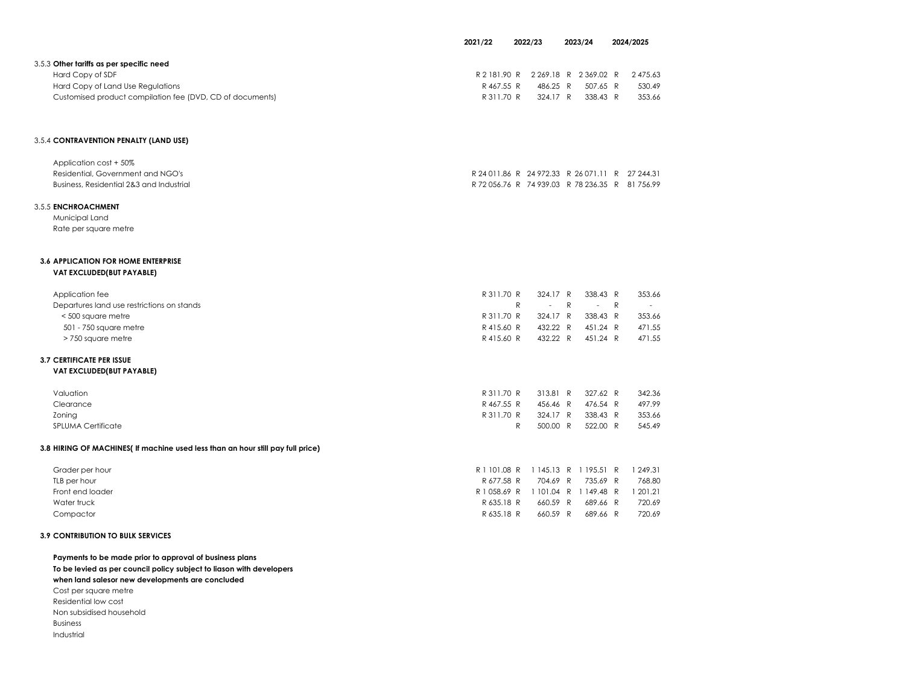|                                                           | 2021/22    | 2022/23                            |          |          |  | 2023/24 |  | 2024/2025 |
|-----------------------------------------------------------|------------|------------------------------------|----------|----------|--|---------|--|-----------|
| 3.5.3 Other tariffs as per specific need                  |            |                                    |          |          |  |         |  |           |
| Hard Copy of SDF                                          |            | R 2 181.90 R 2 269.18 R 2 369.02 R |          | 2 475.63 |  |         |  |           |
| Hard Copy of Land Use Regulations                         | R 467.55 R | 486.25 R                           | 507.65 R | 530.49   |  |         |  |           |
| Customised product compilation fee (DVD, CD of documents) | R 311.70 R | 324.17 R                           | 338.43 R | 353.66   |  |         |  |           |
|                                                           |            |                                    |          |          |  |         |  |           |

### 3.5.4 CONTRAVENTION PENALTY (LAND USE)

| Application cost + 50%                   |                                                 |
|------------------------------------------|-------------------------------------------------|
| Residential, Government and NGO's        | R 24 011.86 R 24 972.33 R 26 071.11 R 27 244.31 |
| Business, Residential 2&3 and Industrial | R 72 056.76 R 74 939.03 R 78 236.35 R 81 756.99 |

### 3.5.5 ENCHROACHMENT

Municipal LandRate per square metre

## 3.6 APPLICATION FOR HOME ENTERPRISE VAT EXCLUDED(BUT PAYABLE)

| R 311.70 R |   |                                  |      | 353.66                                                         |
|------------|---|----------------------------------|------|----------------------------------------------------------------|
|            |   |                                  |      | $\sim$ $-$                                                     |
| R 311.70 R |   |                                  |      | 353.66                                                         |
| R 415.60 R |   |                                  |      | 471.55                                                         |
| R 415.60 R |   |                                  |      | 471.55                                                         |
|            |   |                                  |      |                                                                |
|            | R | 324.17 R<br>432.22 R<br>432.22 R | $-R$ | 338.43 R<br>$-$ R<br>324.17 R 338.43 R<br>451.24 R<br>451.24 R |

## 3.7 CERTIFICATE PER ISSUE VAT EXCLUDED(BUT PAYABLE)

| Valuation                 | R 311.70 R |  | 313.81 R 327.62 R | 342.36 |
|---------------------------|------------|--|-------------------|--------|
| Clearance                 | R 467.55 R |  | 456.46 R 476.54 R | 497.99 |
| Zoning                    | R 311.70 R |  | 324.17 R 338.43 R | 353.66 |
| <b>SPLUMA Certificate</b> | R          |  | 500.00 R 522.00 R | 545.49 |
|                           |            |  |                   |        |

## 3.8 HIRING OF MACHINES( If machine used less than an hour still pay full price)

| Grader per hour  | R 1 101.08 R 1 145.13 R 1 195.51 R 1 249.31 |                             |  |        |
|------------------|---------------------------------------------|-----------------------------|--|--------|
| TLB per hour     |                                             | R677.58 R 704.69 R 735.69 R |  | 768.80 |
| Front end loader | R1058.69 R 1101.04 R 1149.48 R 1201.21      |                             |  |        |
| Water truck      | R635.18 R 660.59 R 689.66 R                 |                             |  | 720.69 |
| Compactor        | R635.18 R 660.59 R 689.66 R                 |                             |  | 720.69 |
|                  |                                             |                             |  |        |

## 3.9 CONTRIBUTION TO BULK SERVICES

| Payments to be made prior to approval of business plans              |  |  |  |  |  |  |  |  |
|----------------------------------------------------------------------|--|--|--|--|--|--|--|--|
| To be levied as per council policy subject to liason with developers |  |  |  |  |  |  |  |  |
| when land salesor new developments are concluded                     |  |  |  |  |  |  |  |  |
| Cost per square metre                                                |  |  |  |  |  |  |  |  |
| Residential low cost                                                 |  |  |  |  |  |  |  |  |
| Non subsidised household                                             |  |  |  |  |  |  |  |  |
| <b>Business</b>                                                      |  |  |  |  |  |  |  |  |
| Industrial                                                           |  |  |  |  |  |  |  |  |
|                                                                      |  |  |  |  |  |  |  |  |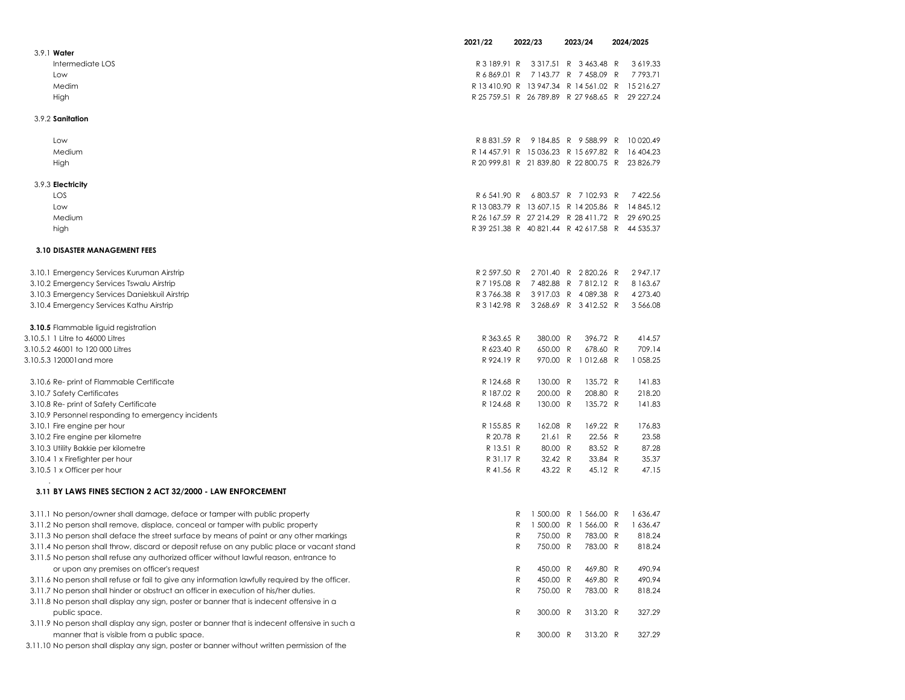|                                                                                                 | 2021/22      | 2022/23                               | 2023/24                 | 2024/2025                                       |  |
|-------------------------------------------------------------------------------------------------|--------------|---------------------------------------|-------------------------|-------------------------------------------------|--|
| 3.9.1 Water                                                                                     |              |                                       |                         |                                                 |  |
| Intermediate LOS                                                                                | R 3 189.91 R |                                       | 3 3 1 7.51 R 3 463.48 R | 3619.33                                         |  |
| Low                                                                                             | R6869.01 R   |                                       | 7143.77 R 7458.09 R     | 7793.71                                         |  |
| Medim                                                                                           |              |                                       |                         | R 13 410.90 R 13 947.34 R 14 561.02 R 15 216.27 |  |
| High                                                                                            |              |                                       |                         | R 25 759.51 R 26 789.89 R 27 968.65 R 29 227.24 |  |
| 3.9.2 Sanitation                                                                                |              |                                       |                         |                                                 |  |
| Low                                                                                             |              |                                       |                         | R 8 831.59 R 9 184.85 R 9 588.99 R 10 020.49    |  |
| Medium                                                                                          |              | R 14 457.91 R 15 036.23 R 15 697.82 R |                         | 16 404.23                                       |  |
| High                                                                                            |              |                                       |                         | R 20 999.81 R 21 839.80 R 22 800.75 R 23 826.79 |  |
| 3.9.3 Electricity                                                                               |              |                                       |                         |                                                 |  |
| LOS                                                                                             |              | R 6 541.90 R 6 803.57 R 7 102.93 R    |                         | 7422.56                                         |  |
| Low                                                                                             |              | R 13 083.79 R 13 607.15 R 14 205.86 R |                         | 14 845.12                                       |  |
| Medium                                                                                          |              |                                       |                         | R 26 167.59 R 27 214.29 R 28 411.72 R 29 690.25 |  |
| high                                                                                            |              |                                       |                         | R 39 251.38 R 40 821.44 R 42 617.58 R 44 535.37 |  |
| 3.10 DISASTER MANAGEMENT FEES                                                                   |              |                                       |                         |                                                 |  |
|                                                                                                 |              |                                       |                         |                                                 |  |
| 3.10.1 Emergency Services Kuruman Airstrip                                                      | R 2 597.50 R |                                       | 2701.40 R 2820.26 R     | 2947.17                                         |  |
| 3.10.2 Emergency Services Tswalu Airstrip                                                       | R 7 195.08 R |                                       | 7482.88 R 7812.12 R     | 8 1 6 3 . 6 7                                   |  |
| 3.10.3 Emergency Services Danielskuil Airstrip                                                  |              | R 3 766.38 R 3 917.03 R 4 089.38 R    |                         | 4 273.40                                        |  |
| 3.10.4 Emergency Services Kathu Airstrip                                                        |              | R 3 142.98 R 3 268.69 R 3 412.52 R    |                         | 3 566.08                                        |  |
| 3.10.5 Flammable liguid registration                                                            |              |                                       |                         |                                                 |  |
| 3.10.5.1 1 Litre to 46000 Litres                                                                | R 363.65 R   | 380.00 R                              | 396.72 R                | 414.57                                          |  |
| 3.10.5.2 46001 to 120 000 Litres                                                                | R 623.40 R   | 650.00 R                              | 678.60 R                | 709.14                                          |  |
| 3.10.5.3 120001 and more                                                                        | R 924.19 R   |                                       | 970.00 R 1012.68 R      | 1 058.25                                        |  |
| 3.10.6 Re- print of Flammable Certificate                                                       | R 124.68 R   | 130.00 R                              | 135.72 R                | 141.83                                          |  |
| 3.10.7 Safety Certificates                                                                      | R 187.02 R   | 200.00 R                              | 208.80 R                | 218.20                                          |  |
| 3.10.8 Re- print of Safety Certificate                                                          | R 124.68 R   | 130.00 R                              | 135.72 R                | 141.83                                          |  |
| 3.10.9 Personnel responding to emergency incidents                                              |              |                                       |                         |                                                 |  |
| 3.10.1 Fire engine per hour                                                                     | R 155.85 R   | 162.08 R                              | 169.22 R                | 176.83                                          |  |
| 3.10.2 Fire engine per kilometre                                                                | R 20.78 R    | 21.61 R                               | 22.56 R                 | 23.58                                           |  |
| 3.10.3 Utility Bakkie per kilometre                                                             | R 13.51 R    | 80.00 R                               | 83.52 R                 | 87.28                                           |  |
| 3.10.4 1 x Firefighter per hour                                                                 | R 31.17 R    | 32.42 R                               | 33.84 R                 | 35.37                                           |  |
| 3.10.5 1 x Officer per hour                                                                     | R 41.56 R    | 43.22 R                               | 45.12 R                 | 47.15                                           |  |
| 3.11 BY LAWS FINES SECTION 2 ACT 32/2000 - LAW ENFORCEMENT                                      |              |                                       |                         |                                                 |  |
| 3.11.1 No person/owner shall damage, deface or tamper with public property                      |              | R                                     | 1 500.00 R 1 566.00 R   | 1 636.47                                        |  |
| 3.11.2 No person shall remove, displace, conceal or tamper with public property                 |              | R                                     | 1 500.00 R 1 566.00 R   | 1 636.47                                        |  |
| 3.11.3 No person shall deface the street surface by means of paint or any other markings        |              | 750.00 R<br>R                         | 783.00 R                | 818.24                                          |  |
| 3.11.4 No person shall throw, discard or deposit refuse on any public place or vacant stand     |              | R<br>750.00 R                         | 783.00 R                | 818.24                                          |  |
| 3.11.5 No person shall refuse any authorized officer without lawful reason, entrance to         |              |                                       |                         |                                                 |  |
| or upon any premises on officer's request                                                       |              | R<br>450.00 R                         | 469.80 R                | 490.94                                          |  |
| 3.11.6 No person shall refuse or fail to give any information lawfully required by the officer. |              | R<br>450.00 R                         | 469.80 R                | 490.94                                          |  |
| 3.11.7 No person shall hinder or obstruct an officer in execution of his/her duties.            |              | 750.00 R<br>R                         | 783.00 R                | 818.24                                          |  |
| 3.11.8 No person shall display any sign, poster or banner that is indecent offensive in a       |              |                                       |                         |                                                 |  |
| public space.                                                                                   |              | R<br>300.00 R                         | 313.20 R                | 327.29                                          |  |
| 3.11.9 No person shall display any sign, poster or banner that is indecent offensive in such a  |              |                                       |                         |                                                 |  |
| manner that is visible from a public space.                                                     |              | R<br>300.00 R                         | 313.20 R                | 327.29                                          |  |
| 3.11.10 No person shall display any sign, poster or banner without written permission of the    |              |                                       |                         |                                                 |  |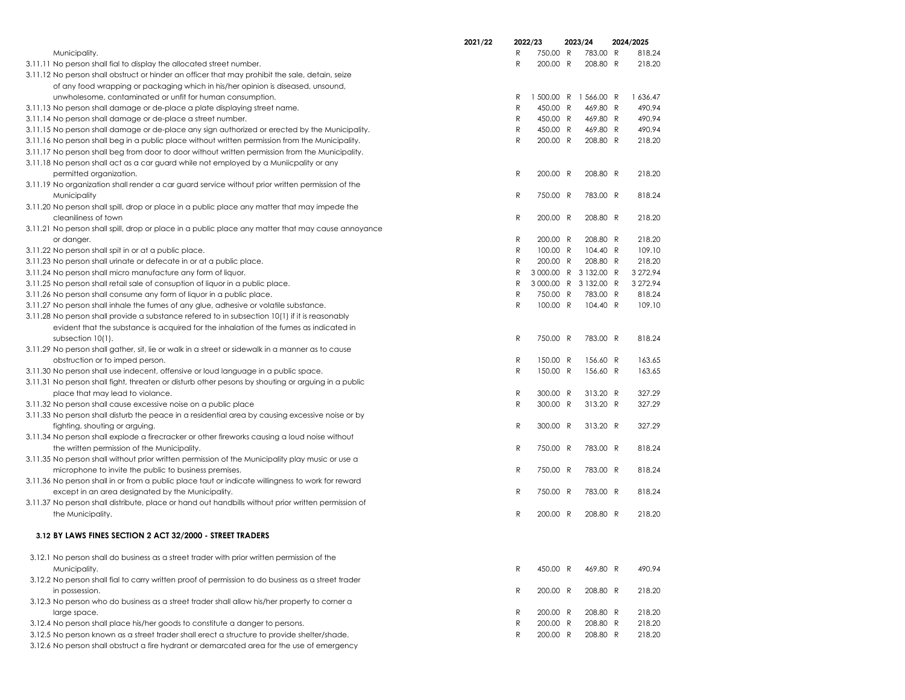|                                                                                                     | 2021/22 |   | 2022/23    | 2023/24             | 2024/2025 |
|-----------------------------------------------------------------------------------------------------|---------|---|------------|---------------------|-----------|
| Municipality.                                                                                       |         | R | 750.00 R   | 783.00 R            | 818.24    |
| 3.11.11 No person shall fial to display the allocated street number.                                |         | R | 200.00 R   | 208.80 R            | 218.20    |
| 3.11.12 No person shall obstruct or hinder an officer that may prohibit the sale, detain, seize     |         |   |            |                     |           |
| of any food wrapping or packaging which in his/her opinion is diseased, unsound,                    |         |   |            |                     |           |
| unwholesome, contaminated or unfit for human consumption.                                           |         | R | 1 500.00 R | 1566.00 R           | 1 636.47  |
| 3.11.13 No person shall damage or de-place a plate displaying street name.                          |         | R | 450.00 R   | 469.80 R            | 490.94    |
| 3.11.14 No person shall damage or de-place a street number.                                         |         | R | 450.00 R   | 469.80 R            | 490.94    |
| 3.11.15 No person shall damage or de-place any sign authorized or erected by the Municipality.      |         | R | 450.00 R   | 469.80 R            | 490.94    |
| 3.11.16 No person shall beg in a public place without written permission from the Municipality.     |         | R | 200.00 R   | 208.80 R            | 218.20    |
| 3.11.17 No person shall beg from door to door without written permission from the Municipality.     |         |   |            |                     |           |
| 3.11.18 No person shall act as a car guard while not employed by a Muniicpality or any              |         |   |            |                     |           |
| permitted organization.                                                                             |         | R | 200.00 R   | 208.80 R            | 218.20    |
| 3.11.19 No organization shall render a car guard service without prior written permission of the    |         |   |            |                     |           |
| Municipality                                                                                        |         | R | 750.00 R   | 783.00 R            | 818.24    |
| 3.11.20 No person shall spill, drop or place in a public place any matter that may impede the       |         |   |            |                     |           |
| cleaniliness of town                                                                                |         | R | 200.00 R   | 208.80 R            | 218.20    |
| 3.11.21 No person shall spill, drop or place in a public place any matter that may cause annoyance  |         |   |            |                     |           |
| or danger.                                                                                          |         | R | 200.00 R   | 208.80 R            | 218.20    |
| 3.11.22 No person shall spit in or at a public place.                                               |         | R | 100.00 R   | 104.40 R            | 109.10    |
| 3.11.23 No person shall urinate or defecate in or at a public place.                                |         | R | 200.00 R   | 208.80 R            | 218.20    |
| 3.11.24 No person shall micro manufacture any form of liquor.                                       |         | R |            | 3000.00 R 3132.00 R | 3 272.94  |
| 3.11.25 No person shall retail sale of consuption of liquor in a public place.                      |         | R |            | 3000.00 R 3132.00 R | 3 272.94  |
| 3.11.26 No person shall consume any form of liquor in a public place.                               |         | R | 750.00 R   | 783.00 R            | 818.24    |
| 3.11.27 No person shall inhale the fumes of any glue, adhesive or volatile substance.               |         | R | 100.00 R   | 104.40 R            | 109.10    |
| 3.11.28 No person shall provide a substance refered to in subsection 10(1) if it is reasonably      |         |   |            |                     |           |
| evident that the substance is acquired for the inhalation of the fumes as indicated in              |         |   |            |                     |           |
| subsection 10(1).                                                                                   |         | R | 750.00 R   | 783.00 R            | 818.24    |
| 3.11.29 No person shall gather, sit, lie or walk in a street or sidewalk in a manner as to cause    |         |   |            |                     |           |
| obstruction or to imped person.                                                                     |         | R | 150.00 R   | 156.60 R            | 163.65    |
| 3.11.30 No person shall use indecent, offensive or loud language in a public space.                 |         | R | 150.00 R   | 156.60 R            | 163.65    |
| 3.11.31 No person shall fight, threaten or disturb other pesons by shouting or arguing in a public  |         |   |            |                     |           |
| place that may lead to violance.                                                                    |         | R | 300.00 R   | 313.20 R            | 327.29    |
| 3.11.32 No person shall cause excessive noise on a public place                                     |         | R | 300.00 R   | 313.20 R            | 327.29    |
| 3.11.33 No person shall disturb the peace in a residential area by causing excessive noise or by    |         |   |            |                     |           |
| fighting, shouting or arguing.                                                                      |         | R | 300.00 R   | 313.20 R            | 327.29    |
| 3.11.34 No person shall explode a firecracker or other fireworks causing a loud noise without       |         |   |            |                     |           |
| the written permission of the Municipality.                                                         |         | R | 750.00 R   | 783.00 R            | 818.24    |
| 3.11.35 No person shall without prior written permission of the Municipality play music or use a    |         |   |            |                     |           |
| microphone to invite the public to business premises.                                               |         | R | 750.00 R   | 783.00 R            | 818.24    |
| 3.11.36 No person shall in or from a public place taut or indicate willingness to work for reward   |         |   |            |                     |           |
| except in an area designated by the Municipality.                                                   |         | R | 750.00 R   | 783.00 R            | 818.24    |
| 3.11.37 No person shall distribute, place or hand out handbills without prior written permission of |         |   |            |                     |           |
| the Municipality.                                                                                   |         | R | 200.00 R   | 208.80 R            | 218.20    |
|                                                                                                     |         |   |            |                     |           |
| 3.12 BY LAWS FINES SECTION 2 ACT 32/2000 - STREET TRADERS                                           |         |   |            |                     |           |
| 3.12.1 No person shall do business as a street trader with prior written permission of the          |         |   |            |                     |           |
| Municipality.                                                                                       |         | R | 450.00 R   | 469.80 R            | 490.94    |
| 3.12.2 No person shall fial to carry written proof of permission to do business as a street trader  |         |   |            |                     |           |
| in possession.                                                                                      |         | R | 200.00 R   | 208.80 R            | 218.20    |
| 3.12.3 No person who do business as a street trader shall allow his/her property to corner a        |         |   |            |                     |           |
| large space.                                                                                        |         | R | 200.00 R   | 208.80 R            | 218.20    |
| 3.12.4 No person shall place his/her goods to constitute a danger to persons.                       |         | R | 200.00 R   | 208.80 R            | 218.20    |
| 3.12.5 No person known as a street trader shall erect a structure to provide shelter/shade.         |         | R | 200.00 R   | 208.80 R            | 218.20    |
| 3.12.6 No person shall obstruct a fire hydrant or demarcated area for the use of emergency          |         |   |            |                     |           |
|                                                                                                     |         |   |            |                     |           |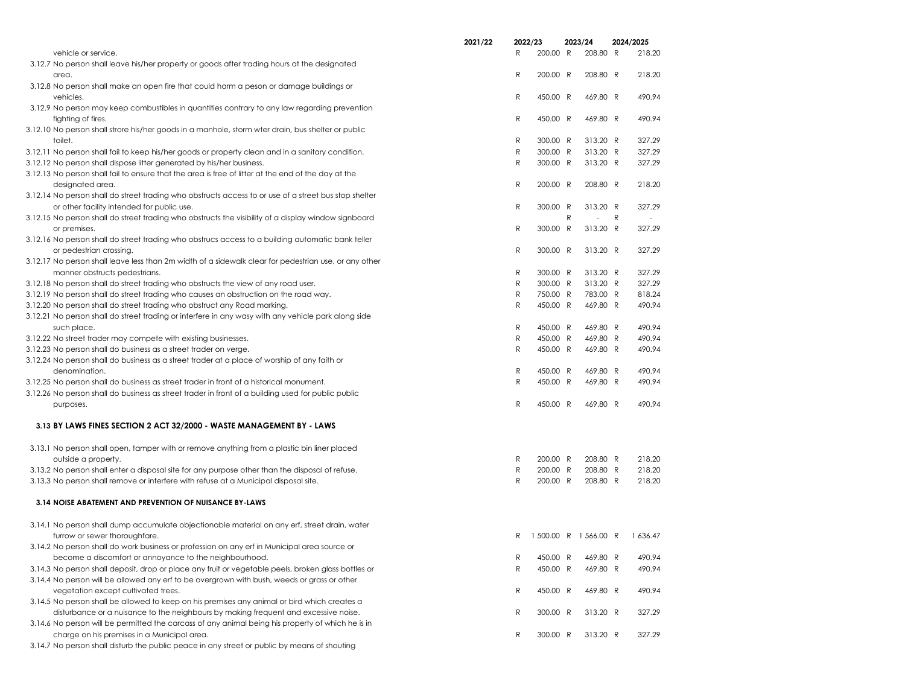|                                                                                                                                                                            | 2021/22 | 2022/23 |                      |   |                      | 2023/24 |                  | 2024/2025 |  |  |
|----------------------------------------------------------------------------------------------------------------------------------------------------------------------------|---------|---------|----------------------|---|----------------------|---------|------------------|-----------|--|--|
| vehicle or service.                                                                                                                                                        |         | R       | 200.00 R             |   | 208.80 R             |         | 218.20           |           |  |  |
| 3.12.7 No person shall leave his/her property or goods after trading hours at the designated                                                                               |         |         |                      |   |                      |         |                  |           |  |  |
| area.                                                                                                                                                                      |         | R       | 200.00 R             |   | 208.80 R             |         | 218.20           |           |  |  |
| 3.12.8 No person shall make an open fire that could harm a peson or damage buildings or<br>vehicles.                                                                       |         | R       | 450.00 R             |   | 469.80 R             |         | 490.94           |           |  |  |
| 3.12.9 No person may keep combustibles in quantities contrary to any law regarding prevention<br>fighting of fires.                                                        |         | R       | 450.00 R             |   | 469.80 R             |         | 490.94           |           |  |  |
| 3.12.10 No person shall strore his/her goods in a manhole, storm wter drain, bus shelter or public                                                                         |         |         |                      |   |                      |         |                  |           |  |  |
| toilet.                                                                                                                                                                    |         | R       | 300.00 R             |   | 313.20 R             |         | 327.29           |           |  |  |
| 3.12.11 No person shall fail to keep his/her goods or property clean and in a sanitary condition.<br>3.12.12 No person shall dispose litter generated by his/her business. |         | R<br>R  | 300.00 R<br>300.00 R |   | 313.20 R<br>313.20 R |         | 327.29<br>327.29 |           |  |  |
| 3.12.13 No person shall fail to ensure that the area is free of litter at the end of the day at the                                                                        |         |         |                      |   |                      |         |                  |           |  |  |
| designated area.                                                                                                                                                           |         | R       | 200.00 R             |   | 208.80 R             |         | 218.20           |           |  |  |
| 3.12.14 No person shall do street trading who obstructs access to or use of a street bus stop shelter<br>or other facility intended for public use.                        |         | R       | 300.00 R             |   | 313.20 R             |         | 327.29           |           |  |  |
| 3.12.15 No person shall do street trading who obstructs the visibility of a display window signboard                                                                       |         |         |                      | R |                      | R       |                  |           |  |  |
| or premises.                                                                                                                                                               |         | R       | 300.00 R             |   | 313.20 R             |         | 327.29           |           |  |  |
| 3.12.16 No person shall do street trading who obstrucs access to a building automatic bank teller                                                                          |         |         |                      |   |                      |         |                  |           |  |  |
| or pedestrian crossing.                                                                                                                                                    |         | R       | 300.00 R             |   | 313.20 R             |         | 327.29           |           |  |  |
| 3.12.17 No person shall leave less than 2m width of a sidewalk clear for pedestrian use, or any other                                                                      |         |         |                      |   |                      |         |                  |           |  |  |
| manner obstructs pedestrians.                                                                                                                                              |         | R       | 300.00 R             |   | 313.20 R             |         | 327.29           |           |  |  |
| 3.12.18 No person shall do street trading who obstructs the view of any road user.                                                                                         |         | R       | 300.00 R             |   | 313.20 R             |         | 327.29           |           |  |  |
| 3.12.19 No person shall do street trading who causes an obstruction on the road way.                                                                                       |         | R       | 750.00 R             |   | 783.00 R             |         | 818.24           |           |  |  |
| 3.12.20 No person shall do street trading who obstruct any Road marking.                                                                                                   |         | R       | 450.00 R             |   | 469.80 R             |         | 490.94           |           |  |  |
| 3.12.21 No person shall do street trading or interfere in any wasy with any vehicle park along side                                                                        |         |         |                      |   |                      |         |                  |           |  |  |
| such place.                                                                                                                                                                |         | R       | 450.00 R             |   | 469.80 R             |         | 490.94           |           |  |  |
| 3.12.22 No street trader may compete with existing businesses.                                                                                                             |         | R       | 450.00 R             |   | 469.80 R             |         | 490.94           |           |  |  |
| 3.12.23 No person shall do business as a street trader on verge.                                                                                                           |         | R       | 450.00 R             |   | 469.80 R             |         | 490.94           |           |  |  |
| 3.12.24 No person shall do business as a street trader at a place of worship of any faith or                                                                               |         |         |                      |   |                      |         |                  |           |  |  |
| denomination.                                                                                                                                                              |         | R       | 450.00 R             |   | 469.80 R             |         | 490.94           |           |  |  |
| 3.12.25 No person shall do business as street trader in front of a historical monument.                                                                                    |         | R       | 450.00 R             |   | 469.80 R             |         | 490.94           |           |  |  |
| 3.12.26 No person shall do business as street trader in front of a building used for public public<br>purposes.                                                            |         | R       | 450.00 R             |   | 469.80 R             |         | 490.94           |           |  |  |
| 3.13 BY LAWS FINES SECTION 2 ACT 32/2000 - WASTE MANAGEMENT BY - LAWS                                                                                                      |         |         |                      |   |                      |         |                  |           |  |  |
| 3.13.1 No person shall open, tamper with or remove anything from a plastic bin liner placed                                                                                |         |         |                      |   |                      |         |                  |           |  |  |
| outside a property.                                                                                                                                                        |         | R       | 200.00 R             |   | 208.80 R             |         | 218.20           |           |  |  |
| 3.13.2 No person shall enter a disposal site for any purpose other than the disposal of refuse.                                                                            |         | R       | 200.00 R             |   | 208.80 R             |         | 218.20           |           |  |  |
| 3.13.3 No person shall remove or interfere with refuse at a Municipal disposal site.                                                                                       |         | R       | 200.00 R             |   | 208.80 R             |         | 218.20           |           |  |  |
| 3.14 NOISE ABATEMENT AND PREVENTION OF NUISANCE BY-LAWS                                                                                                                    |         |         |                      |   |                      |         |                  |           |  |  |
| 3.14.1 No person shall dump accumulate objectionable material on any erf, street drain, water<br>furrow or sewer thoroughfare.                                             |         | R       | 1500.00 R 1566.00 R  |   |                      |         | 1 636.47         |           |  |  |
| 3.14.2 No person shall do work business or profession on any erf in Municipal area source or<br>become a discomfort or annoyance to the neighbourhood.                     |         | R       | 450.00 R             |   | 469.80 R             |         | 490.94           |           |  |  |
| 3.14.3 No person shall deposit, drop or place any fruit or vegetable peels, broken glass bottles or                                                                        |         | R       | 450.00 R             |   | 469.80 R             |         | 490.94           |           |  |  |
| 3.14.4 No person will be allowed any erf to be overgrown with bush, weeds or grass or other                                                                                |         |         |                      |   |                      |         |                  |           |  |  |
| vegetation except cultivated trees.<br>3.14.5 No person shall be allowed to keep on his premises any animal or bird which creates a                                        |         | R       | 450.00 R             |   | 469.80 R             |         | 490.94           |           |  |  |
| disturbance or a nuisance to the neighbours by making frequent and excessive noise.                                                                                        |         | R       | 300.00 R             |   | 313.20 R             |         | 327.29           |           |  |  |
| 3.14.6 No person will be permitted the carcass of any animal being his property of which he is in                                                                          |         |         |                      |   |                      |         |                  |           |  |  |
| charge on his premises in a Municipal area.                                                                                                                                |         | R       | 300.00 R             |   | 313.20 R             |         | 327.29           |           |  |  |
| 3.14.7 No person shall disturb the public peace in any street or public by means of shouting                                                                               |         |         |                      |   |                      |         |                  |           |  |  |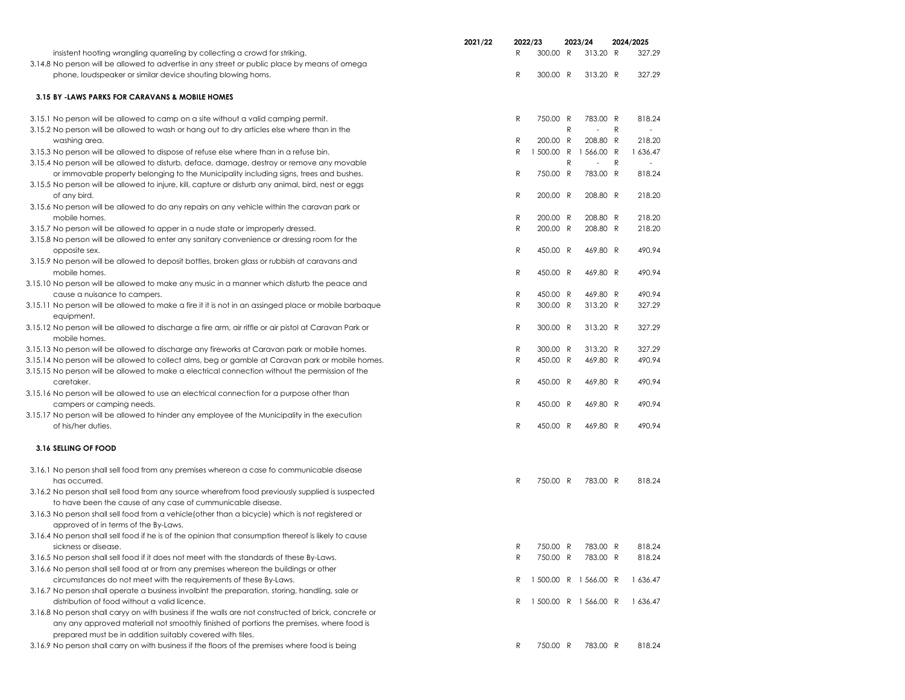|                                                                                                                              | 2021/22 |           | 2022/23    |           | 2023/24               |   | 2024/2025 |
|------------------------------------------------------------------------------------------------------------------------------|---------|-----------|------------|-----------|-----------------------|---|-----------|
| insistent hooting wrangling quarreling by collecting a crowd for striking.                                                   |         | R         | 300.00 R   |           | 313.20 R              |   | 327.29    |
| 3.14.8 No person will be allowed to advertise in any street or public place by means of omega                                |         |           |            |           |                       |   |           |
| phone, loudspeaker or similar device shouting blowing horns.                                                                 |         | ${\sf R}$ | 300.00 R   |           | 313.20 R              |   | 327.29    |
| 3.15 BY -LAWS PARKS FOR CARAVANS & MOBILE HOMES                                                                              |         |           |            |           |                       |   |           |
|                                                                                                                              |         |           |            |           |                       |   |           |
| 3.15.1 No person will be allowed to camp on a site without a valid camping permit.                                           |         | R         | 750.00 R   |           | 783.00 R              |   | 818.24    |
| 3.15.2 No person will be allowed to wash or hang out to dry articles else where than in the                                  |         |           |            | ${\sf R}$ |                       | R |           |
| washing area.                                                                                                                |         | R         | 200.00 R   |           | 208.80 R              |   | 218.20    |
| 3.15.3 No person will be allowed to dispose of refuse else where than in a refuse bin.                                       |         | R         | 1 500.00 R |           | 1 566.00 R            |   | 1 636.47  |
| 3.15.4 No person will be allowed to disturb, deface, damage, destroy or remove any movable                                   |         |           |            | R         |                       | R |           |
| or immovable property belonging to the Municipality including signs, trees and bushes.                                       |         | R         | 750.00 R   |           | 783.00 R              |   | 818.24    |
| 3.15.5 No person will be allowed to injure, kill, capture or disturb any animal, bird, nest or eggs                          |         |           |            |           |                       |   |           |
| of any bird.                                                                                                                 |         | R         | 200.00 R   |           | 208.80 R              |   | 218.20    |
| 3.15.6 No person will be allowed to do any repairs on any vehicle within the caravan park or<br>mobile homes.                |         | R         | 200.00 R   |           | 208.80 R              |   | 218.20    |
| 3.15.7 No person will be allowed to apper in a nude state or improperly dressed.                                             |         | ${\sf R}$ | 200.00 R   |           | 208.80 R              |   | 218.20    |
| 3.15.8 No person will be allowed to enter any sanitary convenience or dressing room for the                                  |         |           |            |           |                       |   |           |
| opposite sex.                                                                                                                |         | R         | 450.00 R   |           | 469.80 R              |   | 490.94    |
| 3.15.9 No person will be allowed to deposit bottles, broken glass or rubbish at caravans and                                 |         |           |            |           |                       |   |           |
| mobile homes.                                                                                                                |         | R         | 450.00 R   |           | 469.80 R              |   | 490.94    |
| 3.15.10 No person will be allowed to make any music in a manner which disturb the peace and                                  |         |           |            |           |                       |   |           |
| cause a nuisance to campers.                                                                                                 |         | R         | 450.00 R   |           | 469.80 R              |   | 490.94    |
| 3.15.11 No person will be allowed to make a fire it it is not in an assinged place or mobile barbaque                        |         | R         | 300.00 R   |           | 313.20 R              |   | 327.29    |
| equipment.                                                                                                                   |         |           |            |           |                       |   |           |
| 3.15.12 No person will be allowed to discharge a fire arm, air riffle or air pistol at Caravan Park or                       |         | R         | 300.00 R   |           | 313.20 R              |   | 327.29    |
| mobile homes.                                                                                                                |         |           |            |           |                       |   |           |
| 3.15.13 No person will be allowed to discharge any fireworks at Caravan park or mobile homes.                                |         | R         | 300.00 R   |           | 313.20 R              |   | 327.29    |
| 3.15.14 No person will be allowed to collect alms, beg or gamble at Caravan park or mobile homes.                            |         | R         | 450.00 R   |           | 469.80 R              |   | 490.94    |
| 3.15.15 No person will be allowed to make a electrical connection without the permission of the                              |         |           |            |           |                       |   |           |
| caretaker.                                                                                                                   |         | R         | 450.00 R   |           | 469.80 R              |   | 490.94    |
| 3.15.16 No person will be allowed to use an electrical connection for a purpose other than                                   |         |           |            |           |                       |   |           |
| campers or camping needs.                                                                                                    |         | R         | 450.00 R   |           | 469.80 R              |   | 490.94    |
| 3.15.17 No person will be allowed to hinder any employee of the Municipality in the execution                                |         |           |            |           |                       |   |           |
| of his/her duties.                                                                                                           |         | ${\sf R}$ | 450.00 R   |           | 469.80 R              |   | 490.94    |
| 3.16 SELLING OF FOOD                                                                                                         |         |           |            |           |                       |   |           |
|                                                                                                                              |         |           |            |           |                       |   |           |
| 3.16.1 No person shall sell food from any premises whereon a case fo communicable disease                                    |         |           |            |           |                       |   |           |
| has occurred.                                                                                                                |         | R         | 750.00 R   |           | 783.00 R              |   | 818.24    |
| 3.16.2 No person shall sell food from any source wherefrom food previously supplied is suspected                             |         |           |            |           |                       |   |           |
| to have been the cause of any case of cummunicable disease.                                                                  |         |           |            |           |                       |   |           |
| 3.16.3 No person shall sell food from a vehicle (other than a bicycle) which is not registered or                            |         |           |            |           |                       |   |           |
| approved of in terms of the By-Laws.                                                                                         |         |           |            |           |                       |   |           |
| 3.16.4 No person shall sell food if he is of the opinion that consumption thereof is likely to cause<br>sickness or disease. |         | R         | 750.00 R   |           | 783.00 R              |   | 818.24    |
| 3.16.5 No person shall sell food if it does not meet with the standards of these By-Laws.                                    |         | R         | 750.00 R   |           | 783.00 R              |   | 818.24    |
| 3.16.6 No person shall sell food at or from any premises whereon the buildings or other                                      |         |           |            |           |                       |   |           |
| circumstances do not meet with the requirements of these By-Laws.                                                            |         | R         |            |           | 1 500.00 R 1 566.00 R |   | 1 636.47  |
| 3.16.7 No person shall operate a business involbint the preparation, storing, handling, sale or                              |         |           |            |           |                       |   |           |
| distribution of food without a valid licence.                                                                                |         | R         |            |           | 1 500.00 R 1 566.00 R |   | 1 636.47  |
| 3.16.8 No person shall caryy on with business if the walls are not constructed of brick, concrete or                         |         |           |            |           |                       |   |           |
| any any approved materiall not smoothly finished of portions the premises, where food is                                     |         |           |            |           |                       |   |           |
| prepared must be in addition suitably covered with tiles.                                                                    |         |           |            |           |                       |   |           |
| 3.16.9 No person shall carry on with business if the floors of the premises where food is being                              |         | R         | 750.00 R   |           | 783.00 R              |   | 818.24    |
|                                                                                                                              |         |           |            |           |                       |   |           |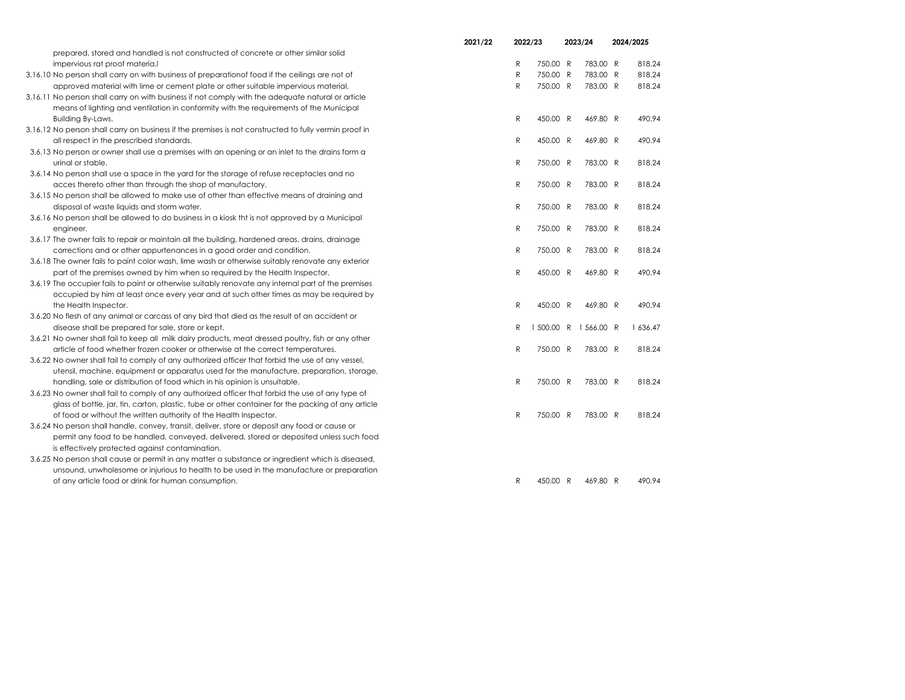|                                                                                                       | 2021/22 | 2022/23      |            | 2023/24    | 2024/2025 |
|-------------------------------------------------------------------------------------------------------|---------|--------------|------------|------------|-----------|
| prepared, stored and handled is not constructed of concrete or other similar solid                    |         |              |            |            |           |
| impervious rat proof materia.                                                                         |         | R            | 750.00 R   | 783.00 R   | 818.24    |
| 3.16.10 No person shall carry on with business of preparationof food if the ceilings are not of       |         | $\mathsf{R}$ | 750.00 R   | 783.00 R   | 818.24    |
| approved material with lime or cement plate or other suitable impervious material.                    |         | R            | 750.00 R   | 783.00 R   | 818.24    |
| 3.16.11 No person shall carry on with business if not comply with the adequate natural or article     |         |              |            |            |           |
| means of lighting and ventilation in conformity with the requirements of the Municipal                |         |              |            |            |           |
| Building By-Laws.                                                                                     |         | ${\sf R}$    | 450.00 R   | 469.80 R   | 490.94    |
| 3.16.12 No person shall carry on business if the premises is not constructed to fully vermin proof in |         |              |            |            |           |
| all respect in the prescribed standards.                                                              |         | R            | 450.00 R   | 469.80 R   | 490.94    |
| 3.6.13 No person or owner shall use a premises with an opening or an inlet to the drains form a       |         |              |            |            |           |
| urinal or stable.                                                                                     |         | R            | 750.00 R   | 783.00 R   | 818.24    |
| 3.6.14 No person shall use a space in the yard for the storage of refuse receptacles and no           |         |              |            |            |           |
| acces thereto other than through the shop of manufactory.                                             |         | R            | 750.00 R   | 783.00 R   | 818.24    |
| 3.6.15 No person shall be allowed to make use of other than effective means of draining and           |         |              |            |            |           |
| disposal of waste liquids and storm water.                                                            |         | R            | 750.00 R   | 783.00 R   | 818.24    |
| 3.6.16 No person shall be allowed to do business in a kiosk tht is not approved by a Municipal        |         |              |            |            |           |
| engineer.                                                                                             |         | R            | 750.00 R   | 783.00 R   | 818.24    |
| 3.6.17 The owner fails to repair or maintain all the building, hardened areas, drains, drainage       |         |              |            |            |           |
| corrections and or other appurtenances in a good order and condition.                                 |         | R            | 750.00 R   | 783.00 R   | 818.24    |
| 3.6.18 The owner fails to paint color wash, lime wash or otherwise suitably renovate any exterior     |         |              |            |            |           |
| part of the premises owned by him when so required by the Health Inspector.                           |         | R            | 450.00 R   | 469.80 R   | 490.94    |
| 3.6.19 The occupier fails to paint or otherwise suitably renovate any internal part of the premises   |         |              |            |            |           |
| occupied by him at least once every year and at such other times as may be required by                |         |              |            |            |           |
| the Health Inspector.                                                                                 |         | R            | 450.00 R   | 469.80 R   | 490.94    |
| 3.6.20 No flesh of any animal or carcass of any bird that died as the result of an accident or        |         |              |            |            |           |
| disease shall be prepared for sale, store or kept.                                                    |         | R            | 1 500.00 R | 1 566.00 R | 1 636.47  |
| 3.6.21 No owner shall fail to keep all milk dairy products, meat dressed poultry, fish or any other   |         |              |            |            |           |
| article of food whether frozen cooker or otherwise at the correct temperatures.                       |         | R            | 750.00 R   | 783.00 R   | 818.24    |
| 3.6.22 No owner shall fail to comply of any authorized officer that forbid the use of any vessel,     |         |              |            |            |           |
| utensil, machine, equipment or apparatus used for the manufacture, preparation, storage,              |         |              |            |            |           |
| handling, sale or distribution of food which in his opinion is unsuitable.                            |         | R            | 750.00 R   | 783.00 R   | 818.24    |
| 3.6.23 No owner shall fail to comply of any authorized officer that forbid the use of any type of     |         |              |            |            |           |
| glass of bottle, jar, tin, carton, plastic, tube or other container for the packing of any article    |         |              |            |            |           |
| of food or without the written authority of the Health Inspector.                                     |         | R            | 750.00 R   | 783.00 R   | 818.24    |
| 3.6.24 No person shall handle, convey, transit, deliver, store or deposit any food or cause or        |         |              |            |            |           |
| permit any food to be handled, conveyed, delivered, stored or deposited unless such food              |         |              |            |            |           |
| is effectively protected against contamination.                                                       |         |              |            |            |           |
| 3.6.25 No person shall cause or permit in any matter a substance or ingredient which is diseased,     |         |              |            |            |           |
| unsound, unwholesome or injurious to health to be used in the manufacture or preparation              |         |              |            |            |           |
| of any article food or drink for human consumption.                                                   |         | R            | 450.00 R   | 469.80 R   | 490.94    |
|                                                                                                       |         |              |            |            |           |